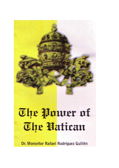# The Power of The **Batican**

Dr. Monseñor Rafael Rodríguez Guillén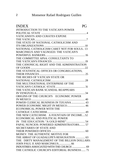| <b>INDEX</b>                                                                                           | PG |
|--------------------------------------------------------------------------------------------------------|----|
| INTRODUCTION TO THE VATICAN'S POWER                                                                    |    |
|                                                                                                        |    |
|                                                                                                        |    |
|                                                                                                        |    |
|                                                                                                        |    |
|                                                                                                        |    |
| NATIONAL CATHOLICISM CARET NOT FOR SOULS 13                                                            |    |
| MARCINKUS AND VAGNOZZI: THE VATICAN'S                                                                  |    |
|                                                                                                        |    |
| THE COMMITTEE APSA: CONSULTANTS TO                                                                     |    |
|                                                                                                        |    |
| THE CANONICAL RIGHT AND THE ADMINISTRATION                                                             |    |
|                                                                                                        |    |
| THE STATISTICAL OFFICES OR CONGREGATIONS,                                                              |    |
|                                                                                                        |    |
| THE RICHES OF VATICAN STATE OR                                                                         |    |
|                                                                                                        |    |
| THE MULTINATIONAL ENTERPRISE OF THE                                                                    |    |
|                                                                                                        |    |
| THE VATICAN BANK SCANDAL REAPPEARS                                                                     |    |
|                                                                                                        |    |
| ORIGINS OF THE CHURCH'S ECONOMIC POWER                                                                 |    |
|                                                                                                        |    |
| POWER CLERICAL BUSINESS IN TIJUANA  43                                                                 |    |
|                                                                                                        |    |
| ECONOMICAL POWER WITH THE                                                                              |    |
|                                                                                                        |    |
| THE NEW CATECHISM: A FOUNTAIN OF INCOME52                                                              |    |
| ECONOMICAL AND POLITICAL POWER<br>ECONOMICAL AND POLITICAL POWER<br>IN THE EDUCATION: "A GOLD MINE" 54 |    |
|                                                                                                        |    |
| PAPAL NUNCIOS: POWERED ADMINISTRATORS 57                                                               |    |
| <b>SECRETARIES OF STATE AND</b>                                                                        |    |
|                                                                                                        |    |
| MONEY: THE AUTHENTIC MOTIVE FOR                                                                        |    |
| THE ABBAT OF GUADALUPE'S RESIGNATION  63                                                               |    |
| THE DIRTY MANAGEMENT OF THE BILLION DOLLARS:                                                           |    |
| JOHN PAUL II AND MARCINKUS 66                                                                          |    |
| INDUSTRIES ASSOCIATED WITH THE CHURCH  69                                                              |    |
| THE CATHOLIC CHURCH'S EDITORIAL BUSINESS  71                                                           |    |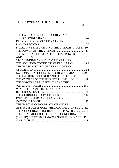| THE CATHOLIC CHURCH'S CURIA AND                 |
|-------------------------------------------------|
|                                                 |
| RELIGIOUS ORDERS: THE VATICAN                   |
| ROMAN LEGIONS FINDING COMMUNICATIONS CONTINUES. |
| PAPAL INVESTITURES AND THE VATICAN TAXES 80     |
|                                                 |
| THE MEXICAN CLERGY'S POLITICAL POWER            |
|                                                 |
| STOP SENDING MONEY TO THE VATICAN:              |
| THE SOLUTION TO THE CRISIS IN CHIAPAS 89        |
| THE FALSE HISTORY OF THE DISCOVERY              |
|                                                 |
| NATIONAL-CATHOLICISM IN CHIAPAS, MEXICO  95     |
| THE CATHOLIC CHURCH AND (THE) OPUS DEI:         |
| THE OWNERS OF THE FINANCES IN MEXICO 98         |
| THE POWERS OF THE JESUITS AND THE               |
|                                                 |
| WORLD MERCANTILISM AND ITS                      |
|                                                 |
| THE CORRUPTION OF THE OPUS DEI  107             |
| ENTREPRENEURS AND LEADERS OF                    |
|                                                 |
| THE FASCIST CONCORDATS OF HITLER                |
| AND MUSSOLINI: MULTIMILLIONAIRE GAINS 113       |
| THE CONCORDATS INCREASE HER POWER  116          |
| THE UNABRIDGED TEXT OF THE CONCORDAT            |
| (SIGNED) BETWEEN FRANCO AND THE HOLY SEE. 119   |
|                                                 |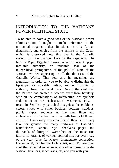# INTRODUCTION TO THE VATICAN'S POWER POLITICAL STATE

To be able to have a good idea of the Vatican's power administration, I ought to make reference to the millennial organism that functions in this Roman dictatorship and copies from the empire of the Cesar, which is preserved unto this day in the Catholic system, its continuation. Here is the organism. The tiara or Papal Egyptian blazon, which represents papal infallible authority, an indelible seal of the monarchical prerogatives of the political state of the Vatican, we see appearing in all the dioceses of the Catholic World. This seal and its meanings are significant in order for you to be able to distinguish the Episcopal or abatable miters, another insignia of authority, from the papal tiara. During the centuries, the Vatican has created a Science apart from heraldry, with all the combinations of architectural art, symbols and colors of the ecclesiastical vestments, etc... I recall in Seville my parochial insignias: the emblems, colors, shoes with silver buckles, bottoms, solideos, pluvial capes, roquetas of the fine linen and embroidered in the best factories with fine gold thread, etc. And I was only a parson (vicar) then. You many take for granted the many uniforms of Cathedral beneficiaries, canons, royal chaplains pages and thousands of liturgical wardrobes of the most fine fabrics of Arabia, of various colored silk for every day of the year (blue for Mary's Immaculate conception, December 8; red for the Holy spirit, etc). To continue, visit the cathedral museum or any other museum in the Vatican, basilicas, sanctuaries, etc, and you with your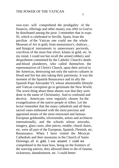own eyes will comprehend the prodigality of the finances, offerings and other money you offer to God to be distributed among the poor. I remember that in expo 92, which is celebrated in Seville, Spain, from the pavilion of the Vatican one could see the whole Museum of Art in gold, from monstrance's, chalices, , and liturgical instruments to unnecessary pectorals, crucifixes of the most fine silver, kilates in gold, etc. In my mind, I could not but recall the armed robbery and despoilment committed by the Catholic Church's deathand-blood plunderers, who called themselves the representatives of Christ's Church, upon their arrival to the Americas, destroying not only the natives cultures in blood and fire but also taking their patrimony. It was the moment of the Spanish Renascence and its ally the Spanish Pope Alexander VI, whose abominable lifestyle and Vatican corruption go to germinate the New World. The worst thing about these abuses was that they were done in the name of Christianity. And to confound and deceive, Americans were regularly chosen for the evangelization of the native people or tribes. Let the lector remember that the many cathedrals and all these sacred vases embossed with the most precious and appraised stones of the most renowned and famous European goldsmiths, silversmiths, artists and architects internationally, and the schools whose artworks, imagery, glass cases, alter pieces, retable, choral chairs, etc, were all part of the European, Spanish, Flemish, etc, Renaissance. When I have visited the Mexican Cathedrals and their museums in the Church of Santo Domingo, all in gold, I was amazed. I could not comprehend in the least how, being on the frontiers of the starving natives, they allowed them to die of famine, sicknesses, abandonment, etc. I could better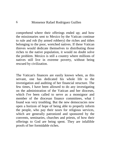comprehend where their offerings ended up; and how the missionaries sent to Mexico by the Vatican continue to rule and rob (by armed robbery) the riches and tithes belonging to the poor, wretched natives. If these Vatican thieves would dedicate themselves to distributing those riches to the native population, it would no doubt solve the problem. Mexico is still a country where millions of natives still live in extreme poverty, without being rescued by civilization.

The Vatican's finances are easily known when, as this servant, one has dedicated his whole life to the investigation and auditing of her financial structure. The few times, I have been allowed to do any investigating on the administration of the Vatican and her dioceses, which I've been called to serve as a monsignor and member of the diocesan finance committees, what I found was very troubling. But the new democracies now open a horizon of hope of being able to properly inform the people, who pay their taxes for religious services, which are generally patronized and sponsored by the convents, seminaries, churches and priests, of how their offerings to God are being spent. They are infallible proofs of her formidable riches.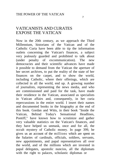## VATICANISTS AND CURATES EXPOSE THE VATICAN

Now in the 20th century, as we approach the Third Millennium, historians of the Vatican and of the Catholic Curia have been able to tip the information outlets concerning the Vatican's finances, a subject very jealously guarded and prohibited to talk about<br>(under penalty of excommunication). The new (under penalty of excommunication). The new democracies and their scientific advances have made it possible to demand from the Vatican the aperture of her secret archives, to put the reality of the state of her finances on the carpet, and to show the world, including Catholic, where their offerings, which are collected in all the world, end up. A growing number of journalists, representing the news media, and who are commissioned and paid for the task, have made their residence in the Vatican, associated as specialists in Vatican affairs and, consequently, in her curia repercussions in the entire world. I insert their names and documented books in the biography at the end of this book. Gordan and Witts, in their book "Inside the Vatican, Behind Today's Sensational Headlines, Pontiff," have known how to scrutinize and gather very valuable statistics on the Vatican's finances, and they have helped us unmask, once and for all, the occult mystery of Catholic money. In page 399, he gives us an account of the millions which are spent on the Salaries of cardinals, officials, soldiers, servants, new appointments, and papal representatives all over the world, and of the millions which are invested in papal delegates, apostolic nuncios, all the diplomats with the right to palaces, scholastic diplomas or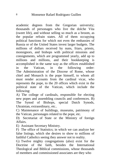academic degrees from the Gregorian university; thousands of personages who live the dolche Vita (sweet life), and without selling so much as a broom, as the popular refrain states. All of them occupying political functions for which not even the embassies of Russia or of the United States invest larger budgets. The millions of dollars received by nuns, friars, priests, monsignors, and bishops with political missions and consignments, which are programmed yearly, add up to millions and millions, and their bookkeeping is accomplished in the same way as the offices established in the Vatican, in the following order: The Administration of the Diocese of Rome, whose chief and Monarch is the pope himself, to whom all must render accounts from the cardinal vicar, who represents the pope, to the 20 offices which exist in the political state of the Vatican, which include the following:

A) The college of cardinals, responsible for electing new popes and assembling councils and conferences. B) The Synod of Bishops, special Dutch Synods, Ukrainian, extraordinary, etc..

C) Maintenance of buildings, museums, patrimony of the Vatican, personages related to the pope, etc.

D) Secretariat of State or the Ministry of foreign Affairs.

E) Assistant Secretary Ministry.

F) The office of Statistics; in which we can analyze her false listings, which she desires to show to millions of faithful Catholics seeing they answer not to reality.

G) Twelve mighty congregations (also) exist for the Doctrine of the faith, besides the International Theological and Biblical commissions, whose thousands of members and commissioned associates are they who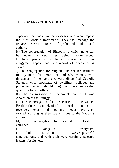supervise the books in the dioceses, and who impose the Nihil obstate Imprimatur. They that manage the

INDEX or SYLLABUS of prohibited books and authors.

H) The congregation of Bishops, to which none can be name without first being recommended. I) The congregation of clerics; where all of us clergymen appear and our record of obedience is stored.

J) The congregation for religious and secular institutes run by more than 600 men and 800 women, with thousands of members and very diversified Catholic Statutes, with thousands of dwellings, colleges and properties, which should (do) contribute substantial quantities to her coffers.

K) The congregation of Sacraments and of Divine Adoration of the Liturgy.

L) The congregation for the causes of the Saints, Beatification's, canonization's a real fountain of revenues, never mind they may never have even existed, so long as they pay millions to the Vatican's coffers.

M) The congregation for oriental (or Eastern) churches.

N) Evangelical Proselytism.<br>
O) Catholic Education.... Twelve powerful O) Catholic Education.... Twelve powerful congregations, and with their very carefully selected leaders: Jesuits, etc.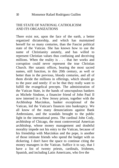#### THE STATE OF NATIONAL CATHOLICISM AND ITS ORGANIZATIONS

There exist not, upon the face of the earth, a better organized dictatorship, and which has maintained herself for so many centuries, than the Fascist political state of the Vatican. She has known how to use the name of Christianity astutely, and has willed to represent Christian values thus confusing and deceiving millions. When the reality is . . . that her works and corruption could never represent the true Christian Church. Her satanic offices, bearing the most sacred names, still function, in this 20th century, as well or better than in the previous, bloody centuries, and all of them divide the millions in offerings, which should go to the poor and needy: if so be that they really want to fulfill the evangelical precepts. The administration of the Vatican State, in the hands of unscrupulous bankers as Michele Sindone, a financier friend of John Paul II now interned in a New Jersey prison, together with the Archbishop Marcinkus, banker exceptional of the Vatican, led the Vatican's finances into bankruptcy. We all know of the many denunciations against Bank Ambrosiano, and the scandals brought to the public light in the international press. The cardinal John Cody, archbishop of Chicago, the most controversial American archbishop, whose money management and doubtful morality impede not his entry to the Vatican, because of his friendship with Marcinkus and the pope, is another of those intimate friends who spend the budget with us dickering. I don't have the space to continue citing the money managers in the Vatican. Suffice it to say, that I have a list of twenty priests, cardinals, Irishmen, Spanish, and including Latin Americans, who live the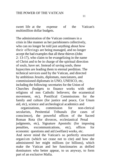sweet life at the expense of the Vatican's multimillion dollar budgets.

The administration of the Vatican continues in a crisis in like manner as her parishioners collectively, who can no longer be told just anything about how their offerings are being managed, and no longer accept the bad examples that all these thieves (John 2: 13-17), who claim to be evangelizing in the name of Christ and to be in charge of the spiritual direction of souls, have set. Instead of saving souls, these hypocrites are leading them to eternal perdition. The technical services used by the Vatican, and directed by ambitious Jesuits, diplomats, nunciatures, and commissioned diplomats in UNO, UNESCO, etc, including the following: secretaries for the Union of Churches (budgets to finance works with other religions of non Catholic believers; the ecumenical movement, etc), Pontifical Commissions for the family and culture (for justice and peace, Cor Unum aid, etc), science and archeological academics and

organizations, commission for non-clerical secularists, Penitential Tribunals (for cases of conscience), the powerful offices of the Sacred Roman Rota (for divorces, ecclesiastical Penal judgments, etc), Signature Apostolic (for imposing penalties, excommunications, etc), offices for economic questions and aid (welfare) works, etc. And never mind the Vatican's so perfectly structured organism (which we cease not to cite) and how she administered her might millions (or billions), which make the Vatican and her functionaries as deified dominators who better appear, to us anyway, to form part of an exclusive Mafia.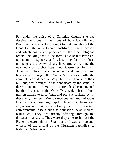For under the guise of a Christian Church she has deceived millions and millions of both Catholic and Protestant believers. I also ought to make mention of the Opus Dei, the only Exempt Institute of the Dioceses, and which has now superseded all the other religious orders, including that of the formidable Jesuits (who are fallen into disgrace), and whose members in these moments are they which are in charge of naming the new nuncios, archbishops, and Castrenses in Latin America. Their bank accounts and multinational businesses manage the Vatican's interests with the complete confidence of Wojtyla, who thanks to their millions, was brought to the pontificate by the same. In these moments the Vatican's deficit has been covered by the finances of the Opus Dei, which has offered million dollars to raise funds and prevent bankruptcy. In these very moments Mexico receives hundreds of Opus Dei members: Nuncios, papal delegates, ambassadors, etc, whose is to take over not only the most productive entrepreneurial assets but also education, news medias, banks, etc. They are already offering, through the dioceses, loans, etc. Thus were they able to impose the Franco dictatorship in Spain, and I was a personal witness of the arrival of the Ultralight capitalists of National Catholicism.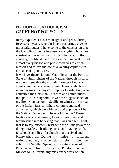## NATIONAL CATHOLICISM CARET NOT FOR SOULS

In my experiences as a monsignor and priest during forty seven years, wherein I have performed diverse ministerial duties, I have come to the conclusion that the Catholic Church's interests are anything but (the) spiritual or the salvation of souls. They are, on the contrary, political and economical interests, and almost every bishop and priest contrives to enrich himself and to live the life of a wealthy capitalist in the name of a poor Christ.

If we investigate National Catholicism or the Political State of ultra rightists of the Vatican through history, we clearly see that the crusades, armies of nuns and clerics, are the very same Roman legions which are maintain since the days of Emperor Constantine, who converted the Christian Churches and communities into political strongholds. It was the biggest shock of my life, when parson in Seville, to witness the arrival of the Italian, fascist military columns and nazi armaments, which were blessed and approved of by the Vatican. Who would have told me this? During twelve years of seminary, I was programmed and brainwashed into believing that I was an alter Christ, that is to say, another Christ with the divine powers of doing miracles, absolving sins, and saving souls falsehoods and lies of a church that deceived and brainwashed us. During my ministry in different nations, and my evangelistic missions from the suburbs of Seville, Spain, to the native zone of Panama, and from New York, Puerto Rico, and Mexico to California, my missionary work of San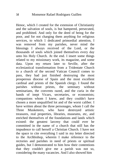Henoc, which I created for the extension of Christianity and the salvation of souls, is but hampered, persecuted, and prohibited. And only for the deed of being for the poor, and for not charging them anything for religious services, to which 1 dedicated primordial attention, I was removed from my parishes, never mind the blessings I always received of the Lord, or the thousands of souls which joined themselves every day unto his Holy Church. At the end. I insert some things related to my missionary work, its magazine, and some data. Upon my return later to Seville, after the ecclesiastical transformation from a Tridentate Church to a church of the second Vatican Council comes to pass, they had just finished destroying the most prosperous diocese of Spain and the most excellent cardinal and priests of the Spanish clergy. I found the parishes without priests, the seminary without seminarians, the convents razed, and the curia in the hands of inept Vicars, secretaries, or economists; companions whom I knew, and they couldn't have chosen a more unqualified lot and of the worst caliber. I have written about the three personages, whom I call the Three Musketeers, who have destroyed artistic treasures, real properties, libraries, museums, etc, and enriched themselves of the foundations and lands which existed: the greatest larceny that could ever be committed in the name of a church that still has the impudence to call herself a Christian Church. I have not the space to cite everything I said in my letter directed to the Archbishop, wherein I make reference to the rectories and parishes in need of priests or spiritual guides, but I demonstrated to him how their contentions that they couldn't give me a parish was not so, considering the many vacancies. And I also showed him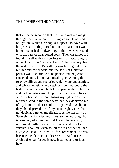that in the persecution that they were making me go through they were not fulfilling canon laws and obligations which a bishop is supposed to have with his priests. But they cared not in the least that I was homeless, or had no dwelling, or that I was entrusted with the care of abandoned souls. They cared not if I found myself without a profession that, according to out ordination, is "in eternal ultra," that is to say, for the rest of my life. Everything was turning out to be but lies and falsehoods, and the souls of Christian priests would continue to be persecuted, neglected, canceled and without canonical rights. Among the forty dwellings and rectories which were unoccupied, and whose locations and settings I pointed out to the bishop, was the one which I occupied with my family and mother before marching off to the mission fields with my licenses, without losing my rights for when I returned. And in the same way that they deprived me of my home, so that I couldn't organized myself, so they also deprived me of my social rights. For I had not dedicated my evangelization, as the majority of Spanish missionaries and friars, to the hoarding, that is, stealing, of money so that I could have a cozy retirement with my very own house and rent to survive. I couldn't even solicit the residence that had always existed in Seville for retirement priests because the diocese had destroyed it. And in the Archiepiscopal Palace is now installed a luxurious hotel.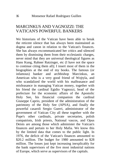# MARCINKUS AND VAGNOZZI: THE VATICAN'S POWERFUL BANKERS

We historians of the Vatican have been able to break the reticent silence that has always been maintained as dogma and canon in relation to the Vatican's finances. She has always excommunicated her critics and silenced them by dismissing them from their ecclesiastic charges, never mind that they are universal theological figures as Hans Kung, Rahner Ratzinger, etc (I have not the space to continue citing them all); I insert most of them in the biographies at the end of my books. The famous (or infamous) banker and archbishop Marcinkus, an American who is a very good friend of Wojtyla, and who scandalized the world with his malfeasance and misfeasance in managing Vatican money, together with his friend the cardinal Egidio Vagnozzi, head of the prefecture for the economic affairs of the Apostolic Holy See, his financial companion the cardinal Giuseppe Caprio, president of the administration of the patrimony of the Holy See (APSA), and finally the powerful casaroli Sergio Guerri, administrator of the government of Vatican City all these together with the Pope's other cardinals, private secretaries, polish compatriots, Irish priests, National vascos, and Opus Deists are among those which administer the Vatican's finances and pertain to her Holy Mafia. We know this by the limited data that comes to the public light. In 1976, the deficit of the Vatican's finances amounted to \$20.2 million. The budget for 1980 amounted to \$28 million. The losses just kept increasing inexplicably for the bank supervisors of the five most industrial nations of Europe, which serve as supervisors of the capitals.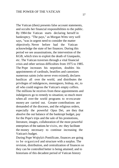The Vatican (then) presents false account statements, and occults her financial responsibilities to the public. By 1984 the Vatican starts declaring herself in bankruptcy. "The pays," as Morgan Witts very well says, "was in urgent need to consider the matter objectively. Never before had the Vatican acknowledge the state of her finances. During this period we see assassinations, the intervention of the KGB, which tries to exploit the death of Gianpaolo, etc. The Vatican traverses through a vital financial crisis and other serious difficulties from 1975 to 1985. The Pope increases his nepotism, doubles his appointments of cardinals, beatifies and canonizes numerous saints (who never even existed), declares basilicas all over the world, and distributes the privileges of indulgences, monsignors, bishop, etc, to all who could engross the Vatican's empty coffers. The millions he receives from these appointments and indulgences go to remedy to situation; so much more when all over the world programs to re-excavate money are carried out. Greater contributions are demanded of the dioceses, and the religious orders, especially the powerful Opus Dei, are they that absolve the out balance of the bankrupt budget, pay for the Pope's trips and the sale of his promotions, literature, images, collaboration of the most powerful enterprises of the nations he visits, etc: they facilitate the money necessary to continue increasing the Vatican's budget.

During Pope Wojtyla's Pontificate, finances are going to be organized and structure with a surplus. The revision, distribution, and centralization of finances so they can be controlled better is being attained; and to historians of this decadent period of Vatican history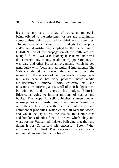it's a big surprise . . . today, of course no money is being offered to the missions, nor are any meaningful compromises being acquired by third world countries. The statistics which show up on budgets for the poor and/or social institutions, supplied by the collections of DOMUNO or of the propagation of the faith, are not being fulfilled. I was a missionary in Panama and never did I receive any money at all for my poor Indians. It was care and other Protestant organisms which helped generously with foods and agricultural implements. The Vatican's deficit is concentrated not only on the increase of the salaries of her thousands of employees but also because her very powerful news media (L'Observatore Romano, Radio Vaticano, etc) and museums are suffering a crisis. All of their budgets must be trimmed, and to engross his budget, Editorial Edetrice is going to imprint millions of stamps and books. The Pope himself publishes sixteen books, whose prices and translations furnish him with millions of dollars. Thus it is with his other enterprises and commercial properties, which extend all over the world, and which the Opus Dei, the Jesuits, the Dominicans and hundreds of other fanatical orders which obey and work for the Vatican administer, believing that they are doing it for Christ and his successor, Peter. What effrontery!! All lies! The Vatican's finances are a millennial larceny, theft a big fraud!!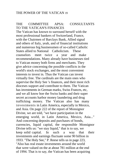#### THE COMMITTEE APSA: CONSULTANTS TO THE VATICAN'S FINANCES

The Vatican has known to surround herself with the most professional bankers of Switzerland, France, with the Chairmen of Barclays Bank, Allied signal and others of Italy, yeah, and of financial institutions and numerous big businessmen of so-called Catholic States allied to National Catholicism. These counselors meet twice a year and make recommendations. Many already have businesses tied to Vatican money both firms and merchants. They give advice concerning the possible conflicts in the world's stock exchanges, and the most convenient interests to invest in. Thus the Vatican can invest virtually free. The cardinals are the main ones who supervise the Holy See 's finances, and their most rich dioceses support and contribute to them. The Vatican has investments in German marks, Swiss Frances, etc, and we all know hoe the Swiss banks and their super secret accounts harbor money laundering and drug trafficking money. The Vatican also has many investments in Latin America, especially in Mexico, and Asia. On page 222 of the report of Monsignor Divine, we are told, "we have participation in the emerging world, in Latin America, Mexico, Asia..." And concerning deposits and purchases of bonds, currencies, liquid capital, the responsible Monsignor Divine tells us: "we stay liquid," that is to say, we keep solid capital. In such a way that their investments and earnings fluctuate some 90 billion in 1933. "The Holy See," P. Reese tells us in page 223, "Also has real estate investments around the world that were valued on the at about 781 million at the end of 1994. That is to say, the Vatican has been acquiring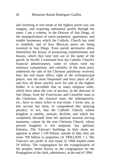and investing in real estate at the highest prices you can imagine, and acquiring substantial profits through the same. I am a witness, in the Diocese of San Diego, of the monopolization of ranch properties, apartments, and retable businesses which the Catholic Church has tried to establish, and of how Mexican pesos are being invested in San Diego. Even parish secretaries allow themselves the luxury of possessing condominiums and houses, which they later rent out in the name of the parish. In Seville I witnessed how the Catholic Church's financial administrators, some of whom were my seminary companions, and certainly of the most poor, undertook the sale of the Christian patrimony received; how the real estate office, right in the archiepiscopal palace, was the most frequented and busy place of all; and how all those ranches were for sale to the highest bidder. It is incredible that so many religious order, which have taken the vow of poverty, in the dioceses of San Diego, from the Franciscans and Carmelite nuns to the Claretians, the claustral nuns, the redemptorists, etc., have so many riches in real estate. I invite you, as this servant has done, to comprehend this amazing paradox; to wit, that the Catholic Church, whose kingdom is earthly, sensual, devilish, and which has completely deviated from her spiritual mission serving mammon, cannot be the true Christian Church, whose present kingdom is not temporal, but spiritual, holiness....The Vatican's buildings in Italy alone are appraise at about 1.150 billion; outside of Italy they are some 700 billion in properties (A TRILLION ? ). The Vatican's net profit in real estate in 1994 totaled some 19 billion. The congregation for the evangelization of the peoples, better known as the congregation for the Propagation of the faith, administers, at the end of 1994,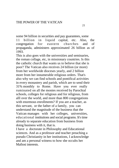some 94 billion in securities and pay guarantees, some 11 billion in liquid capital, etc. Also, the congregation for eastern churches and of propaganda, administers approximated 26 billion as of 1993.

This is also goes with the universities and seminaries, the roman collage, etc, in missionary countries. Is this the catholic church that wants us to believe that she is poor? The Vatican also receives 24 billion (or more) from her worldwide dioceses yearly, and 2 billion more from her innumerable religious orders. That's also why we can find schools and pontifical activities in every monastery and parish, which are to send their 31% monthly to Rome. Have you ever really ruminated on all the monies received by Parochial schools, colleges for religious and for religious, from alll over the world, and more than 800 congregations with enormous enrollments? If you are a teacher, as this servant, or the father of a family, you can understand the magnitude of the business that the Vatican manages with her colleges, universities, educational institutions and social programs. It's time already to separate education from business from doing business with it, that is.

I have a doctorate in Philosophy and Educational sciences. And as a professor and teacher preaching a pseudo Christianity in her institutions, I acknowledge and am a personal witness to how she occults her Mafiosi interests.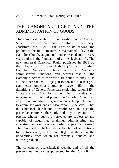## THE CANONICAL RIGHT AND THE ADMINISTRATION OF GOODS

The Canonical Right, or the constitution of Vatican State, which we are made to study in seminary, constitutes the Civil Right. Part of its canons, the product of the Jus Romanum, is maintained today in the Catholic Church, augmented and corrected more every year; and it is the foundation of all her legislation's. The new universal Canonical Right, published in 1983 by the Library of Christian Authors (I'd call it, rather, Catholic Authors), relates all the Vatican's administrative functions, and decrees that all the Catholic dioceses of the world are bound to obey it, as all the other canons, I urge you to consult it so that you can better understand me. on page 425, in the definitions of General Principals explaining canon 1254, 1, we are told: "that by native right (birthright), and independent of the civil power, the Catholic Church can acquire, retain, administer, and alienate temporal wealth to attain her own ends." Also canon 1255 says: "That the Universal church and Apostolic See, and also the particular churches there of, and any other juridical person, whether public or private, are subject to and capable of acquiring, retaining, administering and alienating temporal goods according to juridical norms." The Canonical Right has been a fountain of legislation's for centuries and, as the Civil Right, is studied in the universities, from which her cardinals, nuncios, and doctors graduate.

The concept of ecclesiastical wealth, and of all the patrimonies and riches possessed by the Catholic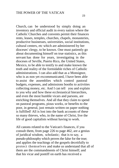Church, can be understood by simply doing an inventory and official audit in every nation where the Catholic Churches and convents permit their finances rents, leases, temples, churches, chapels, monasteries, productive businesses, universities, social institutions, cultural centers, etc which are administered by her dioceses' clergy, to be known. One must patiently go about documenting himself on true statistics, as this servant has done for years, investigating in the dioceses of Seville, Puerto Rico, the United States, Mexico, to be able to testify to and make known the truth and reality of the formidable riches of Catholic administrations. I can also add that as a Monsignor, who is as non yet excommunicated, I have been able to assist the assemblies which control pastoral budgets, expenses, and admissions booths to activities collecting money, etc. And I can tell you and explain to you why and how these ecclesiastical hierarchies, and even the most humble vicars and parsons, are enriching themselves. And all that they claim to spend on pastoral programs, pious works, or benefits to the poor, in general, just remain written on paper nothing is fulfilled! All is lost into the bank accounts of these so many thieves, who, in the name of Christ, live the life of good capitalists without having to work.

All canons related to the Vatican's finances, if you consult them, from page 226 to page 462, are a genius of juridical wisdom, scholastic; that is to say, a pseudo-philosophy which proves the false for the true; and applies the teachings of the gospels deceitfully to protect themselves and make us understand that all of them are the commandments of Christ himself; and that his vicar and pontiff on earth has received a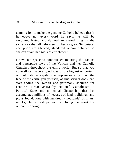commission to make the genuine Catholic believe that if he obeys not every word he says, he will be excommunicated and damned to eternal fires in the same way that all reformers of her so great Simoniacal corruption are silenced, slandered, and/or defamed so she can attain her goals of enrichment.

I have not space to continue enumerating the canons and perceptive laws of the Vatican and her Catholic Churches throughout the entire world. But so that you yourself can have a good idea of the biggest emporium or multinational capitalist enterprise existing upon the face of the earth, you yourself, as this servant does, can start adding the wealth and patrimony acquired for centuries (1500 years) by National Catholicism, a Political State and millennial dictatorship that has accumulated millions of hectares of land, buildings, and pious foundations with hundreds (thousands) of friars, monks, clerics, bishops, etc... all living the sweet life without working.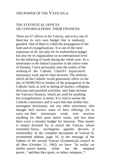## THE POWER OF THE VATICAN <sup>25</sup>

## THE STATISTICAL OFFICES OR CONGREGATIONS, THEIR FINANCES

There are 67 offices in the Vatican, and every one of them has its very own budget that is zealously guarded. One of them is called the propagation of the faith and of evangelizations. It is one of the most important of all, not only for its multimillion budget but also for its organization on an international level for the fathering of funds during the whole year. As a missionary to the Indian Guaymies in the native zone of Panama, I have personally seen the reality of the working of the Catholic Church's hypocritical missionary work and its false doctrine. The millions which all the Catholic world generously offers on the day of DOMUND or Sunday of the propagation of the Catholic faith, as well as during all masses, collegiate, diocesan and parochial activities, only help increase the Vatican's finances, which are used for anything but evangelization, it seems. It is vital to arouse the Catholic conscience and to warn him that neither this monsignor missionary, nor any other missionary who thought he'd receive some of their offerings for to carry out their missionary work, ever receives anything for their poor native zones, and less does there exist a (steady) budget for missions. That money is simply diverted for to enrich the Vatican, whose extremely fierce, sacrilegious appetite devours it irremissibly. In the complete documents of Vatican II, seventeenth edition, page 16, in the message of the Fathers of the second Vatican (Ecumenical) council to all Men (October 21, 1962) we have: "In reality we neither posses human riches nor the temporal power..." and then they quote, or rather, misquote, 7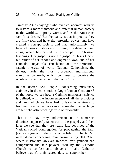Timothy 2:4 as saying: "who ever collaborates with us to restore a more righteous and fraternal human society in the world ..." - pretty words, and as the Americans say, "nice dream." But the reality is that in practice they are filthy rich and have the terrestrial power; and have created a corrupt society; and that, unfortunately, we have all been collaborating in living this dehumanizing crisis, which has caused us to corrupt true Christian teachings. Her gospel is not the gospel of Jesus Christ, but rather of her canons and dogmatic laws, and of her councils, encyclicals, catechisms and the terrestrial, satanic interests of world National Catholicism, the richest, yeah, the most prosperous multinational enterprise on earth, which continues to deceive the whole world in the name of the poor Christ.

In the decree "Ad People," concerning missionary activities, in the constitutions Dogm Lumen Gentium 48 of the pope, we see how a Catholic missionary science is defined, with the inconvenience of all the principles and laws which we have had to learn in seminary to become missionaries. We can now see that the teachings are but scholastic teachings void of rationality.

That is to say, they indoctrinate us in numerous doctrines supposedly taken out of the gospels, and then later we see that they are really just doctrines of the Vatican sacred congregation for propagating the faith (sacra congregation de propaganda fide). In chapter VI, in the decree concerning Ecumenism 12 (pg. 314. 392), where missionary laws are imposed, you yourself can comprehend the fair palaver used by the Catholic Church to confuse and, above all, make Catholics believe that it's their sacred duty to support her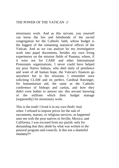missionary work. And as this servant, you yourself can know the lies and falsehoods of the sacred congregation for the Catholic faith, whose budget is the biggest of the remaining statistical offices of the Vatican. And as we can analyze by my investigative work into papal documents, besides my own living experiences on the mission fields of Panama, where, if it were not for CARE and other International Protestants organizations, I never could have helped my poor Native Indians, who died daily of pestilence and want of all human hope, the Vatican's finances go anywhere but to her missions. I remember once soliciting CLAM and its perfect, Cardinal Ratzinger, for humanitarian aid, the same as the Catholic conference of bishops and caritas, and how they didn't even bother to answer me: this servant knowing of the millions which their budget manage (supposedly) for missionary work.

This is the truth! I lived it in my own flesh! And when I refused to impose prices for the sale of sacraments, masses, or religious services, as happened unto me with the poor natives in Seville, Mexico, and California, I was excused from my parish: only for demanding that they abide by what was written in the pastoral program and councils. Is this not a shameful mockery??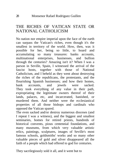# THE RICHES OF VATICAN STATE OR NATIONAL CATHOLICISM

No nation nor empire imperial upon the face of the earth can surpass the Vatican's riches, even though it's the smallest in territory of the world. How, then, was it possible for her, being so little, to hoard and accumulating so many treasures: banks accounts, multinational enterprises, businesses, and bullion through the centuries? Amazing isn't it? When I was a parson in Seville, Spain, I witnessed the arrival of the fascist hosts, together with those of National Catholicism, and I beheld as they went about destroying the riches of the republicans, the protestants, and the flourishing Spanish businesses; and how their homes, bank accounts, and iewels were sacked. They took everything of any value in their path, expropriating the legitimate owners thereof of their lands, palaces, etc, and incarcerated, banished, or murdered them. And neither were the ecclesiastical properties of all those bishops and cardinals who opposed the Vatican spared.

The even sacked and/or destroy numerous dioceses (and I repeat I was a witness), and the biggest and smallest seminaries, homes for retired priests, hundreds of historical convents, pious centennial foundations, and many museums, from which very valuable artistic relics, paintings, sculptures, images of Seville's most famous schools, goldsmiths' works and so many other valuable pieces of gold and silver disappeared all the faith of a people which had offered to god for centuries.

They sacrilegiously sold it all, and it went but to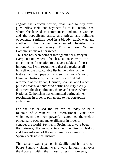engross the Vatican coffers, yeah, and to buy arms, guns, rifles, tanks and bayonets for to kill republicans, whom she labeled as communists, and union workers, and the republicans army, and priests and religious opponents: a million dead in a bloody, tragic war, and another million either incarcerated, banished, or murdered without mercy. This is how National Catholicism makes her riches.

Thus she has been doing it throughout her history in every nation where she has alliance with the governments. In relation to this very subject of most importance, I will recommend that the reader avail himself of the incalculable list in the Index, or the history of the papacy written by non-Catholic Christian historians, or the audits carried out by reformers of the Italian, German, Spanish, and French political states, authors who define and very clearly document the despoilments, thefts and abuses which National Catholicism has committed during all her revolutions in order to put an end to her corruption and crimes.

For she has caused the Vatican of today to be a fountain of currencies: an International Bank with which even the most powerful states see themselves obligated to pact and make alliances in order to conquer the world. Seville, in Spain, has always been the primary, the most extensive, the See of Isidoro and Leonardo and of the most famous cardinals in Spain's ecclesiastical history.

This servant was a parson in Seville, and his cardinal, Pedro Segura y Saenz, was a very famous man over the diocese with the most priests, convents,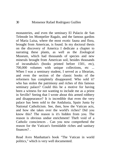monasteries, and even the seminary El Palacio de San Telmode los Montpelier Ragalo, and the famous gardins of Maria Luisa, where the most exotic fauna and flora, brought from American, is found. In my doctoral thesis on the discovery of America I dedicate a chapter to narrating these plants, as well as the Zoological Museum, which had thousands of species and new minerals brought from American soil, besides thousands of incunabula's (books printed before 1501, etc), 700,000 volumes with unique collections, etc ... When I was a seminary student, I served as a librarian, and even the section of the classic books of the reformers has completely disappeared. Who sold it? who has stolen the patrimony and riches of this famous seminary palace? Could this be a motive for having been a witness for not wanting to include me as a priest in Seville? Seeing that I wrote about this armed robbery and disappearance? It is incredible that even the very palace has been sold to the Andalusia, Spain Junta by National Catholicism. See, then, how the Vatican acts, and how she takes over the world's riches? Did you know this? The reason is it's hidden from you. The reason is obvious undue enrichment! Theft void of a Catholic consciences . Can you now comprehend the reason for the Vatican's formidable riches and sanitary finances? .

Read Avro Manhattan's book "The Vatican in world politics," which is very well documented.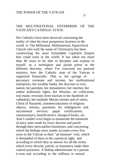#### THE MULTINATIONAL ENTERPRISE OF THE VATICAN'S CATHOLIC STATE

We Catholics have been deceived concerning the reality of what the most prosperous business in the world is: The Millennial, Multinational, hypocritical Church who with the name of Christianity has been constructing the most formidable Capitalist Empire that could exist in the world. It has taken me more than 40 years to be able to decipher and explain to myself, as a monsignor and parish priest in the different dioceses, where I've exercised my pastoral ministry, how the Catholic state of the Vatican is organized financially: That is, her springs of pecuniary revenues and income, her multinational enterprises, her wealthy banks, her dioceses in very nation, her parishes, her monasteries, her ranches, her author (editorial) rights, her libraries, art collections, real estate, revenues from tourism in her hundreds of cathedrals, her multiple Marian shrines and of saints, Christ of Nazareth, commercialization of religious objects, simony, payments for indulgences and sacramental services, papal certifications, canonization's, beatification's, liturgical books, etc. And I couldn't even begin to enumerate the hundreds of juicy sales made by every diocese and parish through their mercantilist businesses, and concerning which the bishops must render accounts every five years to the Vatican in their "ad liminam" visit, which is demanded of them in the canonical right; and according to which they us answer for all the riches which every diocese, parish, or monastery under their control possesses. A bishop administrator or a parson is sent, and according to the millions in annual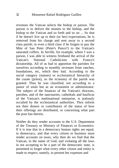revenues the Vatican selects the bishop or parson. The parson is to deliver the monies to the bishop, and the bishop to the Vatican and so forth and so on ... So that if he doesn't live up to their (or her) expectations, he is removed from his charge and sent away to a second class parish; or even a third class if he forgets to pay the Mite of San Peter (Peter's Pence?) to the Vatican's saturated coffers. In Seville, for example, where I was a parson, I was able to witness firsthand the arrival of the Vatican's National Catholicism with Franco's dictatorship. All of us had to apportion the parishes for ourselves according to monthly revenues from ranches, foundations, etc, which they had. According to the social category (statues) or ecclesiastical hierarchy of the curate (priest), so the economy of the parish was granted. Thus he was classified, not according to a pastor of souls but as an economist or administrator. The subject of the finances of the Vatican's dioceses, parishes, and of the sanctuaries, cathedrals and basilicas of the Vatican's multinational enterprise, is jealously occulted by the ecclesiastical authorities. They inform not their donors or contributors of the status of how their offerings are distributed, or concerning what part the poor has therein.

Neither do they render accounts to the U.S. Department of the Treasury or Ministry of Finances or Economics. If it is true that in a democracy human rights are equal, in democracy, and that every citizen or business must render accounts on taxes, why then do we find that the Vatican, in the name of God, and violating all the laws in not accepting to be a part of the democratic state, is permitted to forget what every other citizen and entity is made to respect; namely, to present her expenses and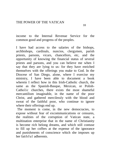income to the Internal Revenue Service for the common good and progress of the peoples.

I have had access to the salaries of the bishops, archbishops, cardinals, nuncios, clergymen, parish priests, parsons, vicars, chancellors, etc, and the opportunity of knowing the financial status of several priests and parsons, and you can believe me when I say that they are lying to us: for they have enriched themselves with the offerings you make to God. In the Diocese of San Diego, alone, where I exercise my ministry, I have been able to document a book wherein I reflect how in this Irish-Catholic church, the same as the Spanish-Basque, Mexican, or Polish-Catholic churches, there exists the most shameful mercantilism imaginable, in the name of the poor Christ, and gathered mercilessly with the blood and sweat of the faithful poor, who continue to ignore where their offerings end up.

The moment is come, in the new democracies, to expose without fear of excommunications or censures, the realities of the corruption of Vatican state, a multination enterprise that in the name of Christianity is become rich belong dreams, and which still contuse to fill up her coffers at the expense of the ignorance and punishments of conscience which she imposes up her faithful adherents.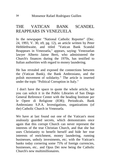# THE VATICAN BANK SCANDEL REAPPEARS IN VENEZUELA

In the newspaper "National Catholic Reporter" (Dec. 24, 1993, V. 30, n9, pg. 12), an article written by Peter Hebblethwaite, and titled "Vatican Bank Scandal Reappears in Venezuela," appears, saying: Venezuelan lawyer Alberto Jaime Berti, who administered the Church's finances during the 1970s, has testified to Italian authorities with regard to money laundering.

He has revealed and exposed the connections between the (Vatican Bank), the Bank Ambrosiano, and the polish movement of solidarity." The article is inserted under the topic "Political Corruption in Italy."

I don't have the space to quote the whole article, but you can solicit it in the Public Libraries of San Diego General Reference Center with the heading Institute per le Opere di Religione (IOR); Periodicals. Bank Ambrosiano S.P.A. Investigations, organizations (of the) Catholic Church in Venezuela.

We have at last found out one of the Vatican's most zealously guarded secrets, which demonstrates once again that this corrupt Church can never represent the interests of the true Christian Church, and that she but uses Christianity to benefit herself and hide her true interests of enrichment, money laundering, running businesses, unholy investments, etc; with the Vatican's banks today cornering some 75% of foreign currencies, businesses, etc.. and Opus Dei now being the Catholic Church's new multimillionaires.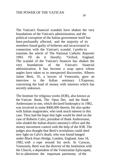The Vatican's financial scandals have shaken the very foundations of the Vatican's administration, and the political corruption of the Italian government itself has been profoundly affected, and the majority of its members found guilty of briberies and incarcerated in connection with the Vatican's scandal. I prefer to translate the article of The National Catholic Reporter 1993. I'll do it literally: "Oxford, England. 1993. I'll do it literally: "Oxford, England. The scandal of the Vatican's finances has shaken the very foundations of the Vatican's financial administration. It has become a soap opera whose angles have taken us to unexpected discoveries. Alberto Jaime Berti, 55, a lawyer of Venezuela, gave an interview to the Italian seminary L'Espresso, concerning the load of money with interests which has secretly unknown.

The Institute for religious works (IOR), also known as the Vatican Bank, The Opus Dei, and the Bank Ambrosiano in one, which declared bankruptcy in 1982, was involved in some \$400,000 therein. He also spoke with Italian magistrates, who took much interest in this case. They had the hope that light would be shed on the case of Roberto Calvi, president of Bank Ambrosiano, who eluded the Italian district attorney's office and the money movement control with the help of the IOR. The judges also thought that Berti's revelations could shed new light on Calvi's death, who was found hanged under Black friars Bridge, London, England, June 18, 1982, with a rope around his neck. In Caracas, Venezuela, Berti was the director of the Institution with the Church, a dependent of the Venezuelan Episcopate, for to administer the important patrimony of the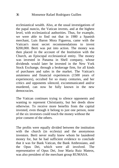ecclesiastical wealth. Also, at the usual investigations of the papal nuncio, the Vatican invests, and at the highest level, with ecclesiastical authorities. Thus, for example, we were able to find out that in 1980 a Spanish merchant, Luis Baron Mora Figueroa, came with the Vatican's most secret recommendations to invest \$200,000. Berti was put into action. The money was then placed in the account of the Institution with the Church, an Episcopal ecclesiastical entity. The money was invested in Panama in Shell company, whose dividends would later be invested in the New York Stock Exchange, through a brokerage firm, for all kinds of purchases and sales in the market. The Vatican's astuteness and financial experiences (1500 years of experiences), occulted for so many centuries, and her critics and opponents silenced, excommunicated and/or murdered, can now be fully known in the new democracies.

The Vatican continues trying to silence opponents and wanting to represent Christianity, but her deeds show otherwise. To receive more benefits from the capital invested, even though it belong to just one person, none of the six investors could touch the money without the prior consent of the others.

The profits were equally divided between the institution with the church (in ecclesia) and the anonymous investors. Berti never really knew whom he laundered money for, but he had sufficient evidence to conclude that it was for Bank Vatican, the Bank Ambrosiano, and the Opus Dei, which were all involved. The representative of Opus Dei, Jose Maria Ruiz Mateos, was also president of the merchant group RUMASA.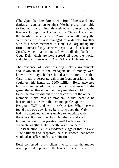(The Opus Dei later broke with Ruiz Mateos and now denies all connection to him). We have also been able to find out many things through other sources: that the Rumasa Group, the Banco Suizo (Swiss Bank) and the Nordi finance bank in Zurich were all really the same bank, which was managed by a director together with four other members of Opus Dei, organizing the firm Limmatstiftung, another Opus Dei foundation in Zurich, which has connected with all the banks of Opus Dei, which are now spread all over the world, and which also invested in Calvi's Bank Ambrosiano.

The evidence of Berti assuring Calvi's investments and involvement in the management of money were known two days before his death in 1982: in that Calvi made a desperate call from London asking if he could get his hands on \$200 million. Berti answered him and reminded him of the pact and rules of the game: that is, that nobody nor any member could touch the money without the prior consent of the other members. Calvi saw no problem in that because he boasted of his ties with the Institute per le Opere di Religione (IOR) and with the Opus Dei. When he was found dead two days later, Berti concluded that Calvi had miscalculated and was unable to negotiate with the others, IOR and the Opus Dei: they abandoned him in the hour of his greatest need! Berti does not speculate whether Calvi's death was a suicide or

 assasination. But his evidence suggests that if Calvi felt ruined and desperate, he also known that others would also suffer much discrimination.

Berti confessed to his client investors that the money was supposed to pass into the hands of Inecclesia or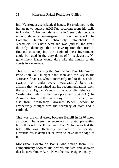into Venezuela ecclesiastical hands. He explained to the Italian news agency ADISTA, speaking from his exile in London, "That nobody is sure in Venezuela, because nobody dares to investigate this now nor ever! The Catholic Church is absolutely untouchable in Venezuela. This hath been and was (and is) the great, the only advantage: that an investigation that tries to find out or snoop into the origin of these investments could be hated in the very doors of In ecclesiastic. No government leader would dare take the church to the courts in Venezuela.

This is the reason why the Archbishop Paul Marcinkus, Pope John Paul II right hand man and the key to the Vatican's finances, who is intimately tied to the scandal, escapes from under every investigation." Berti also affirms that he abstained all his recommendations from the cardinal Egidio Vagnozzi, the apostolic delegate in Washington, who by then was president of APSA (The Administration for the Patrimony of the Holy See), and also from Archbishop Giovanni Benelli, whom he erroneously thought was the secretary of state and a cardinal.

This was the chief error, because Benelli in 1970 acted as though he were the secretary of State, presenting himself beside the Frenchman Jean Villot, who had the title. OIR was effectively involved in the scandal. Nevertheless it denies it or even to have knowledge of it.

Monsignor Donato de Bonis, who retired from IOR, competitively showed his professionalism and answers that he never knew Berti. Nevertheless he signed many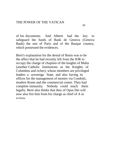of his documents. And Alberti had the key to safeguard the funds of Bank de Genova (Genova Bank) the one of Paris and of the Basque country, which possessed the evidences.

Berti's explanation for the denial of Bonis was to be the affect that he had recently left from the IOR to occupy the charge of chaplain of the knights of Malta (another Catholic Institutions as the Knights of Columbus and richer), whose members are privileged leaders a sovereign State, and also having its offices for the management of monies via Condotti, modern Rome and the commercial center. They had complete immunity. Nobody could touch them legally. Berti also thinks that they of Opus Dei will now also fire him from his charge as chief of A in ecclesia.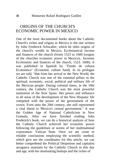## ORIGINS OF THE CHURCH'S ECONOMIC POWER IN MEXICO

One of the most documented books about the Catholic Church's riches and origins in Mexico is the one written by John Frederick Schwaller, which he titles origins of the church's wealth in Mexico, Ecclesiastical income and finances of the church (from) 1523 to 1600 (origins of the churches economic power in Mexico)., Incomes Ecclesiastic and finances of the church, 1523. 1600). It was published in Spanish by "Fondo de cultura Economica" (Economic culture fund). In its prologue we are told, "that from her arrival to the New World, the Catholic Church was one of the essential pillars in the spiritual, economic, social, political and military life of the Mexican people. During colonial times, in the 18th century, the Catholic Church was the most powerful institution of the New Spain. Her power and influence in all areas of the development of the New Hispanic life competed with the power of the government of the crown. Even unto the 20th century, she still represented a vital threat to Mexico's central government." It was the Golden Age of National Catholicism in New Granada. After we have finished reading John Frederick's book, we can do a historical analysis of how the Catholic Church achieved her economic power following the guidelines or norms of her multinational corporation: Vatican State. Once we are come to reliable conclusions employing the scientific method, which give me the coordinates for this article, we can better comprehend the Political Despotism and capitalist arrogance maintain by the Catholic Church in this day and age, with her dominating bishops and the riches of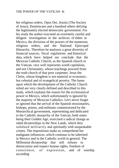her religious orders, Opus Dei, Jesuits (The Society of Jesus), Dominicans and a hundred others defying the legitimately elected democratic government. For his study the author executed an extremely careful and diligent investigation in the archives of tithes in Mexico, the divisions of the powers of the numerous religious orders, and the National Episcopal Hierarchy. Therefore he analyzes a great diversity of financial sources, fiscal regulations and historical data, which have helped me conclude that the Mexican Catholic Church, as the Spanish church or the Vatican, very well represents world capitalism, and not Christianity, whose teachings proceed from the truth church of that poor carpenter, Jesus the Christ, whose kingdom is not material or economic; but celestial and of evangelical poverty. The bases upon which the development of the Catholic Church relied are very clearly defined and described in this study, which explains the reason for the ecclesiastical power in Mexico, which unfortunately is ignored by the majority of Mexican Catholics. Let's never forget or ignored that the arrival of the Spanish missionaries, bishops, priests, and militants commissioned by the Monarchical government, representing and dedicated to the Catholic monarchy of the Vatican, both states being their Golden Age, exercised a radical change as rabid dictatorships in the New Lands, which they subdued militarily and spiritually with unspeakable crimes. The impositions make us comprehend her malignant influences, which continue to be inherited in Mexico and in the Catholic world in general: The Millennial dictatorship that still refuses to democratize and respect human rights, freedom of conscience, of expression, and of worship according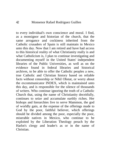to every individual's own conscience and moral. I find, as a monsignor and historian of the church, that the same arrogance and cockiness inherited from the Catholic crusaders of Spain is still maintain in Mexico unto this day. Now that I am retired and have had access to this historical reality of what Christianity really is and what Catholicism is, I plan to continue investigating and documenting myself in the United States' independent libraries of the Public Universities, as well as on the evidence found in federal libraries and historical archives, to be able to offer the Catholic peoples a new, true Catholic and Christian history based on reliable facts without censorship or Nihil Obstat, or worry about the excommunicator INDEX, which is maintained unto this day, and is responsible for the silence of thousands of writers. Who continue ignoring the truth of a Catholic Church that, using the name of Christianity deceitfully, continues to seize and accumulate earthly riches. Her bishops and hierarchies live to serve Mammon, the god of worldly gain, at the expense of the offerings made to God by the poor, faithful believer, which offerings should be divided among the poor, especially the poor, miserable natives in Mexico, who continue to be exploited by the Liberation Theology preach by the Harlot's clergy and leader's as or in the name of Christian.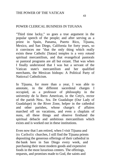#### POWER CLERICAL BUSINESS IN TIJUANA

"Third time lucky," so goes a true argument in the popular speech of the people; and after serving as a priest in Spain, Panama, Puerto Rico, Tijuana, Mexico, and San Diego, California for forty years, so it convinces me "that the only thing which really exists these Catholic [Satan] temples is a very rotund spiritual mercantilism, and that evangelical pastorals or pastoral programs are all but extant. That was when I finally understood that I was but a servant of the Vatican state's mercantilism and her qualified merchants, the Mexican bishops: A Political Party of National Catholicism.

In Tijuana, for more than a year, I was able to annotate, in the different sacerdotal charges I occupied, as a professor of philosophy in the university de la Ibero American, in the Cety's, rector of the parish Ntra.. Sra. De Guadalupe (Our Lady of Guadalupe) in the River Zone, helper in the cathedral and other parishes, whose charge's d' affaires marched off on vacations, and even a chaplain of nuns, all these things and observe firsthand the spiritual debacle and ambitious mercantilism which exists and is worked out in these institutions.

Even now that I am retired, when I visit Tijuana and its Catholic churches, I still find the Tijuana priests depositing the generous offerings of their cathedral in the bank here in San Diego every week, and purchasing their most modern goods and expensive foods in the most luxurious centers. The offerings, requests, and promises made to God, the saints and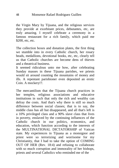the Virgin Mary by Tijuana, and the religious services they provide at exorbitant prices, debutantes, etc, are truly amazing. I myself celebrate a ceremony in a famous restaurant for a rich family, which paid me \$200, etc, etc.

The collection boxes and donation plates, the first thing we stumble into in every Catholic church, her rosary beads, medallions, devotional books, etc, etc, clearly tell us that Catholic churches are become dens of thieves and a theatrical business.

It seemed ridiculous unto me how, after celebrating Sunday masses in these Tijuana parishes, we priests would sit around counting the mountains of money and ills. A repentant parishioner even deposited an erotic Coin. A mockery!?.

The mercantilism that the Tijuana church practices in her temples, religious associations and educative institutions in such that only the rich and wealthy can defray the costs. And that's why there is still so much difference between social classes; that is to say, the middle class has all but disappeared, and all that's left is a 10% privileged class and a 90% slave class that lives in poverty, enslaved by the continuing influences of the Catholic church in our politics, economics, and education, which function according to the interests of the MULTINATIONAL DICTATORSHIP of Vatican state. My experiences in Tijuana as a monsignor and priest were so terrorizing and worrisome for my Christianity, that I had to take the option of COMING OUT OF HER (Rev. 18:4) and refusing to collaborate with so much corruption and immorality of her bishops, priests and several Catholics who reminded me of the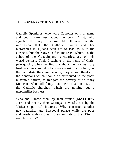Catholic Spaniards, who were Catholics only in name and could care less about the poor Christ, who signaled the way to eternal life. It gave me the impression that the Catholic church and her hierarchies in Tijuana seek not to lead souls to the Gospels, but their own selfish interests, which, as the abbot of the Guadalupana sanctuaries, are of this world devilish. Their Preaching in the name of Christ pale quickly when we find out about their riches, rosy bank accounts and dolche vitta (sweet life), which, as the capitalists they are become, they enjoy, thanks to the donations which should be distributed to the poor, miserable natives, to mitigate the poverty of so many Mexicans who still fancy that their salvation rests in the Catholic churches, which are nothing but a mercantilist business.

"Yea shall know them by their fruits" (MATTHEW 7:16) and not by their writings or words, nor by the Vatican's political interests. Why construct another new cathedral and Episcopal palace while the poor and needy without bread to eat migrate to the USA in search of work?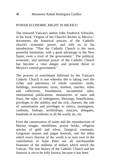#### POWER ECONOMIC MIGHT IN MEXICO

The renewed Vatican's author John Frederick Schwaler, in his book "Origins of the Church's Riches in Mexico," documents the historical process of the Catholic church's economic power, and tells us in his introduction: "That the Catholic Church is the most powerful institution, with a great advantage in the New Spain; even a rival of the government." The political, economic, and spiritual power of the Catholic Church has become a vital danger and present threat to Mexico's central government."

The process of enrichment followed by the Vatican's Catholic Church is one whereby she is taking over the riches and patrimony of whole countries: lands, buildings, investments, taxes, markets, ranches, tithes and collections, foundations, sacramental sales, international publications, monasteries of nuns and friars, the sales of indulgences, blessings, benedictions, privileges to the nobility and the rich, charters, the sale of canonization and privileges to clerics, monsignors, cardinals, bishops, archbishops, nuncios, delegates, hundreds of incumbents in all the world, etc, etc.

Even the canonization of saints and the reproductions of Marian images, medallions, prayer books, religious articles of gold and silver, liturgical vestments. Gregorian masses and pagan funerals, and the tithes which every diocese of the world is to turn over to the contribution of Saint Peter are all inexhaustible fountains of the millions of dollars which enrich the Vatican. The true history of the Catholic Church and her finances is vet to be fully known, because it has been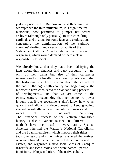jealously occulted . . .But now in the 20th century, as we approach the third millennium, it is high time for historians, now permitted to glimpse her secret archives (although only partially), to start consulting cardinals and bishops for some facts and explanations concerning the administration of the catholic churches' dealings and over all for audits of the Vatican and Catholic Church's international financial organisms, which would demand of them a clear responsibility to society.

We already know that they have been falsifying the facts about their finances and bank accounts . . . not only of their banks but also of their currencies internationally. Schwaller very well points out "that the historians who have written about the church of the end of the eighteenth century and beginning of the nineteenth have considered the Vatican's long process of development... and that we are come to the twenty century recognizing that her economic power is such that if the governments don't know how to act quickly and allow this development to keep growing, she will eventually seize all the political powers and riches of the national patrimony. The financial success of the Vatican throughout history is due to various factors, and different methods have been used in every nation. Spanish America inherited the Vatican's National Catholicism and the Spanish empire's, which imposed their tithes, took over gold and silver mines, enslaved the natives, who were forced to erect her cathedrals, churches and estates, and organized a new social class of Caciques (Sheriff) and rich Creoles, who were named Spanish inquisitors, bishops and friars of the native culture.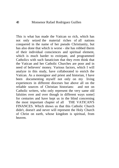This is what has made the Vatican so rich, which has not only seized the material riches of all nations conquered in the name of her pseudo Christianity, but has also done that which is worse - she has robbed therm of their individual consciences and spiritual element, which is much harder to extirpate, and programmed Catholics with such fanaticism that they even think that the Vatican and her Catholic Churches are poor and in need of believers' money. Various factors, which I will analyze in this study, have collaborated to enrich the Vatican. As a monsignor and priest and historian, I have been documenting myself not only on my living experiences in different dioceses but above all on the reliable sources of Christian historians: and not on Catholic writers, who only represent the very same old falsities over and over though in different ways some] for centuries and have kept us in the blind concerning the most important chapter of all THE VATICAN'S FINANCES. Which shows us that this Catholic Church didn't, doesn't and never will represent the Holy Church of Christ on earth, whose kingdom is spiritual, from heaven.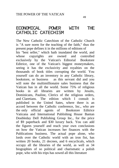#### ECONOMICAL POWER WITH THE CATHOLIC CATECHISM

The New Catholic Catechism of the Catholic Church is "A sure norm for the teaching of the faith," thus the present pope defines it in the millions of editions of his "best seller," which hath inundated the world, and whose copyrights are owned and controlled exclusively by the Vatican's Editorial Bookstore Editrice, one of the Vatican's biggest moneymakers, seeing it has the exclusivity and royalties on the thousands of book titles corrupting the world. You yourself can do an inventory in any Catholic library, bookstore, or business as this servant did and you will note the multimillionaire sales business that the Vatican has in all the world. Some 75% of religious books in all libraries are written by Jesuits, Dominicans, Pauline, Clerics of the religious orders, and Claretians. The edition which I consult is published in the United Sates, where there is an accord between the Catholic conference, Inc., who are the only official agents of Bookstore Editrice Vaticana and International Publishing House Bantan Doubleday Dell Publishing Group Inc., for the price of \$9 paperback and \$30 luxury back. You can add the figures yourself and reach your own conclusions on how the Vatican increases her finances with the Publications business. The actual pope alone, who lords over the Catholic world with an iron fist, has written 20 books, 21 decrees, and 6 encyclicals, which occupy all the libraries of the world, as well as 34 biographies of so political and charismatic a polish pope, who with his trips has sowed all this literature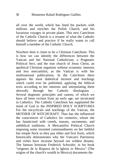all over the world, which has lined his pockets with millions and enriches the Polish Church, and his luxurious voyages in private plane. This new Catechism of the Catholic Church is a resume of what the Catholic should believe and practice if he really wants to call himself a member of the Catholic Church.

Nowhere does it claim to be a Christian Catechism. This is how we can identify the differences between the Vatican and her National Catholicism, a Pragmatic Political Sect, and the true church of Jesus Christ, an apolitical Christian organism without economic interests and less mercantilist, as the Vatican is with her multinational publications. In the Catechism there appears the most diabolical mixture and teachings which could ever be published, applying the biblical texts according to her interests and interpolating them shrewdly through her Catholic theologians Several dogmatic principles and canons, of which we have all been victims from an early age, are inculcated in Catholics. The Catholic Catechism has supplanted the mind of God in the INSPIRED HOLY SCRIPTURES For the encyclicals and teachings of the Vatican, the MOTHER OF WITCHCRAFT. Thus has she influenced the consciences of Catholics for centuries, whom she has fanaticized with creeds, masses, sacraments, and unbiblical traditions. A Mercantilist Political Church imposing some invented commandments on her faithful but simple flock so they pay tithes and first fruits, which historically demonstrates why the Vatican's Patrimony and riches have increase beyond our wildest dreams. The famous historian Frederick Schwaler, in his book "origenes de la Riqueza de la Iglesia in Mexico" (The origins of the church's wealth in Mexico) documents the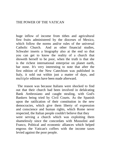huge inflow of income from tithes and agricultural first fruits administered by the dioceses of Mexico, which follow the norms and/or rules of the universal Catholic Church. And as other financial studies, Schwaler inserts a biography also at the end so that you can get to know the reality of a church that showeth herself to be poor, when the truth is that she is the richest international enterprise on planet earth, bar none. It's very interesting to note that after the first edition of the New Catechism was published in Italy, it sold out within just a matter of days, and multiple editions have been made afterward.

The reason was because Italians were shocked to find out that their church had been involved in defalcating Bank Ambrosiano and caught stealing, with God's Bankers being tried by Civil Courts. As the Spanish upon the ratification of their constitution in the new democracies, which give them liberty of expression and conscience and human rights, which Rome never respected, the Italian people couldn't believe that they were serving a church which was exploiting them shamelessly since the concordats with Mussolini and Franco, Political and economic alliances which helped engross the Vatican's coffers with the income taxes levied against the poor people.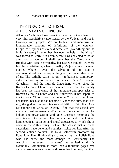### THE NEW CATECHISM: A FOUNTAIN OF INCOME

All of us Catholics have been instructed with Catechisms of very high acquisitive value issued by the Vatican, and not in harmony with gospels. We are to learn and memorize an innumerable amount of definitions of the councils, Encyclicals, synods of every diocese, etc. (Everything but the bible, it seems) I remember that even to help in the Mass I was forced to learn it in Latin before I was selected to be an alter boy or acolyte. I shall remember the Catechism of Ripalda with certain sympathy, because we thought we were learning Christianity, when in reality it's just a most talented market wherein even the salvation of our soul is commercialized: and to say nothing of the money they exact of us. The catholic Christ is only (a) business commodity, valued according to invented miracles. Pius X's Roman Catechism and the multiple Catechisms written since the Roman Catholic Church first deviated from true Christianity has been the main cause of the ignorance and apostasies of Roman Catholic Church and her followers. It has separated the Catholic Church from the genuine Christian Church and her tenets, because it has become a Vader me cum, that is to say, the god of the consciences and faith of Catholics. As a Monsignor and Christian Doctor, I find that the Catechisms are what best represent and/or define the catholic Church's beliefs and organization, and give Christian historians the coordinates to prove her separation and theological, hermeneutical, patristic, and moral apostasies to which she is come in the 20th century. But all she sees is that all these catechisms have generated countless riches for her. After the second Vatican council, the New Catechism promoted by Pope John Paul II himself (also known as the Polish Pope who has cause the most damage to Christianity. The Antichrist, as even many agree) has reunited all this is essentially Catholicism in more than a thousand pages. We can analyze in every chapter and prove that in no way can the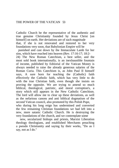Catholic Church be the representative of the authentic and true genuine Christianity founded by Jesus Christ [on himself] on earth. Her deviations are of such magnitude that, if she is not renovated and restored to her very foundations very soon, that Babylonian Empire will be

punished and cast down by the Immaculate Lamb for her sins, which have reached into heaven (Rev. 17:16-17; 18:2-

24) The New Roman Catechism, a best seller, and the most sold book internationally, is an inexhaustible fountain of income, published by Editorial of the Vatican Money is always needed to raise the already generous salaries of the Roman Curia. This Catechism is, as John Paul II himself says, A sure horn for teaching the (Catholic) faith effectively the Catholic faith, which has very little to do with the true Christian faith, even though she insists on proving the opposite. We are trying to amend so much biblical, theological, patristic, and moral corruption's, a story which still appears in the New Catholic Catechism. The lord will allow me to clear up these deviations, as well as the nefarious canons and anti biblical dogmatism of the second Vatican council, also promoted by this Polish Pope, who during his long reign has undermined and converted

the few remaining Christian foundations we had left into a new, more satanic Catholic Church. He is destroying the very foundations of the church, and we contemplate some

new, secularized bishops and priests, Marxist Liberation theology theologians, and established Merchants preaching a pseudo Christianity and saying by their works, "Do as I say, not as I do."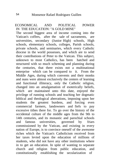#### ECONOMICAL AND POLITICAL POWER IN THE EDUCATION: "A GOLD MINE"

The second biggest area of income coming into the Vatican's coffers, after the sale of sacraments, are universities, secondary (Junior High) schools, High schools, elementary schools, colleges, Parish schools, private schools, and seminaries, which every Catholic diocese in the world possesses, and which are to send their contributions of Peter to the Vatican. This subject, unknown to most Catholics, has been hatched and structured with so much scheming and planning during the centuries, that there exists not a multinational enterprise which can be compared to it. From the Middle Ages, during which convents and their monks and nuns were almost exclusively the centers of learning and functional illiteracy, only the Catholic religion, changed into an amalgamation of esoterically beliefs, which are maintained unto this date, enjoyed the privilege of running schools and teaching her dogmatic biblical and theological aberrations, imposing upon her students the greatest burdens, and forcing even commercial farmers, landowners and fiefs to pay excessive tithes there for. To go over the history of the occidental culture of the middle ages from the 9th to 14th centuries, and its monastic and parochial schools and famous universities, governed by friars commissioned by the Vatican, and existing in every nation of Europe, is to convince oneself of the awesome riches which the Vatican's Catholicism received from her taxes levied upon the education of millions of students, who did not have any other institutions where in to get an education. In spite of wanting to separate church and religion from public education, and constitutionally establishing the secularization of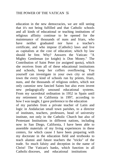education in the new democracies, we are still seeing that it's not being fulfilled and that Catholic schools and all kinds of educational or teaching institutions of religious affinity continue to be opened for the maintenance of thousands of nuns and friars, who have neither graduated nor have a teacher's certificate, and who impose (Catholic) laws and live as capitalists at the cost of education; which by law should be free. Why? Answers the Vatican: "A Mighty Gentleman (or knight) is Don Money." The Contribution of Saint Peter (or assigned quota), which she receives from all of these educational institutions and schools, keep her coffers overflowing. You yourself can investigate in your own city or small town the every kind of schools run by priests, friars, nuns, and the thousands of religious orders, which not only canonize new fancied Saints but also even invent new pedagogically unsound educational systems. From my sacerdotal ordination in 1952 in Spain until my retirement in California in 1997, according to how I was taught, I gave preference to the education of my parishes from a private teacher of Latin and logic in Andalucian small town parishes, to a director of institutes, teachers, professors, head of university institute, not only in the Catholic Church but also of Protestant Institutions in different nations, including now in San Diego, California, I have been able to assemble materials of my living experiences in these centers, for which cause I have been preparing with my doctorate in the education field and textbooks to teach alumni and future teachers the "tricks" of the trade. So much falsity and deception in the name of Christ! The Vatican's banks, which function in all Catholic dioceses, and educational institutions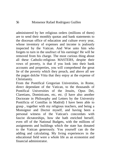administered by her religious orders (millions of them) are to send their monthly quotas and bank statements to the diocesan office of education and culture every year, whose inventory of expenses and income is jealously inspected by the Vatican. And Woe unto him who forgets to turn in the usufruct of his earnings! He will be removed from his charge. The most curious thing about all these Catholic-religious MASTERS, despite their vows of poverty, is that if you look into their bank accounts and properties, you will comprehend the great lie of the poverty which they preach, and above all see the pagan dolche Vitta that they enjoy at the expense of Christianity.

From the Pontifical Gregorian Universities, in Rome, direct dependant of the Vatican, to the thousands of Pontifical Universities of the Jesuits, Opus Dei, Claretians, Dominicans, etc, etc. (I have also another Doctorate in Philosophy and Letters by the University Pontificia of Comillas in Madrid) I have been able to grasp , together with my religious teachers, and being a Monsignor and Doctor myself, and having been a personal witness of the Vatican's concordats with fascist dictatorships, how she hath enriched herself, even off of the National Budgets, with the millions of assignments and buildings which the state has donated to the Vatican generously. You yourself can do the adding and calculating. My living experiences in the educational field were a whole life as an economist and financial administrator.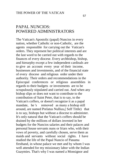### PAPAL NUNCIOS: POWERED ADMINISTRATORS

The Vatican's Apostolic (papal) Nuncios in every nation, whether Catholic or non-Catholic, are the agents responsible for carrying out the Vatican's orders. They represent her political interests and are the last word to be carried out with regards to the finances of every diocese. Every archbishop, bishop, and hierarphy except a few independent cardinals are to give an account every year of their income, businesses and investments, and of the financial state of every diocese and religious order under their authority. Their orders and recommendations in the Episcopal conferences or religious assemblies in regards to their budgets or investments are to be scrupulously stipulated and carried out. And when any bishop slips or does not want to contribute to the contribution of Saint Peter, that is to say, to the Vatican's coffers, or doesn't recognize it as a papal mandate, he 's removed as many a bishop still around, are named Prelatus Nullius,( Self Tittle) that is to say, bishops but without a diocese to administer. It's only natural that the Vatican's coffers should be drained by the millions of dollars invested in her budgets for the Nuncios salaries and their palaces and personal house servants nuns or friars who, with their vows of poverty, and carefully chosen, serve them as maids and servants without social rights. I have studied the life of the Papal Nuncio of Panama firsthand, in whose palace we met and by whom I was well attended for my missionary labor with the Indian Guaymies. That's why I was named a Monsignor and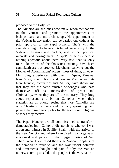proposed to the Holy See.

The Nuncios are the ones who make recommendations to the Vatican, and promote the appointments of bishops, cardinals and archbishops. No appointment of the Vatican in any nation can be carried out without the prior approval of the Papal Nuncio. That's why the candidate ought to have contributed generously to the Vatican's treasury and coffers, and to her political interests and consignments. "Papal" Nuncios (there is nothing apostolic about them: very few, that is, only four I know of, of the thousands existing, have been canonized) are but crooked Merchants carrying out the Mother of Abominations' orders, most of them, anyway. My living experiences with them in Spain, Panama, New York, Puerto Rico, and now in Mexico with its New Nuncio, compatriot Just Mullor, have shown me that they are the same sinister personages who pass themselves off as ambassadors of peace and Christianity, when they are all the contrary. They brag about representing a billion Catholics, when their statistics are all phony; seeing that most Catholics are only Christians in name and by baby sprinkling, and paying their simonies quotas for the traditional religious services they receive.

The Papal Nuncios are all commissioned to transform democracies into [Catholic] dictatorships, whereof I was a personal witness in Seville, Spain, with the arrival of the New Nuncio, and where I exercised my charge as an economist and parson in the biggest parish of San Julian. What I witnessed there (the Vatican toppling of the democratic republic, and the Nazi-fascist columns and armaments, bought and paid for by the Vatican money, entering to subdue the people) is the very same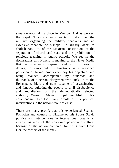situation now taking place in Mexico. And as we see, the Papal Nuncios already wants to take over the military, organizing the military chaplains and an extensive vicariate of bishops. He already wants to abolish Art. 130 of the Mexican constitution, of the separation of church and state and the prohibition of religious teaching in public schools. We see in the declarations this Nuncio is making to the News Media that he is already prepared, and with millions of dollars, to carry out his functions as a seasoned politician of Rome. And every day his objectives are being realized, accompanied by hundreds and thousands of diocesan clergymen who suck up to the Episcopate, friars and nuns capable of assassinating, and fanatics agitating the people to civil disobedience and repudiation of the democratically elected authority. Wake up Mexico! Expel Just Mullor! He's your enemy! Far too many proofs of his political interventions in the nation's politics exist.

There are many proofs that this experienced Spanish Politician and witness in Ukraine of this Pope's Slavic politics and interventions in international organisms, aleady has most of the economic power and cultural heritage of the nation cornered: for he is from Opus Dei, the owners of the money.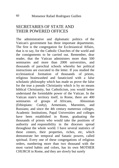# SECRETARIES OF STATE AND THEIR POWERED OFFICES

The administrative and diplomatic politics of the Vatican's government has three important departments. The first is the congregation for Ecclesiastical Affairs, that is to say, for the Catholic Churches of the world and the consignments to be carried out. Remember, dear reader, that the Vatican administers more than 500 seminaries and more than 2000 universities, and thousands of parochial schools whereby her political instructions are executed to the letter. If you studied the ecclesiastical formation of thousands of priests, religious brainwashed and fanaticized with a false scholastic philosophy which has made us prove the false for the true a pseudo Christianity which is by no means biblical Christianity, but Catholicism, you would better understand the formidable power of the Vatican. In the Vatican state's territory itself, in Rome, there are 400 seminaries of groups of Africans, Abissinian (Ethiopians: Cushy), Armenians, Maronites, and Russians; and since the 4th century numerous colleges, Academic Institutions, Papal Universities and colleges have been established in Rome, graduating the thousands of priests who would take the positions of authority and responsibility in the dioceses spread throughout the whole world. I have several statistics of these centers, their properties, riches, etc, which demonstrate her temporal and Satanic powers, called spiritual. Every one of these congregations of religious orders, numbering more than two thousand with the most varied habits and colors, has its own MOTHER CHURCH in Rome, and they are slowly but surely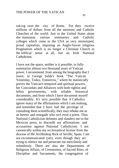taking over the city of Rome. For they receive millions of dollars from all the missions and Catholic Churches of the world. Just in the United States alone she maintains various seminaries and Catholic colleges which come to the USA as very stereotyped, proud capitalists, imposing an Anglo-Saxon religious Pragmatism which is no longer a Christian Church in the biblical sense at all, but an Irish National Catholicism.

I have not the space, neither is it possible, to fully summarize almost two thousand years of Vatican power. I recommend, from among the biography that I insert, in George Selde's book "The Vatican Yesterday, Today, Tomorrow," where he statistically proves the Vatican's temporal and spiritual powers, her Concordats and Alliances with both rightist and leftist governments, with reliable historical documents, and from which I have document myself considerably. It's very possible that if Catholics ignore many of the affirmations which I am making, and remember that I have had the privilege of consulting them scientifically, they may rebuke me as an heretic and renegade who isn't even a priest. Thus National Catholicism defames and slanders me to the Mexican press, to discredit my affirmations and accusations against National Catholicism. I am canonically within my ecclesiastical license from the diocese of the Archbishop Rick of Seville, Spain. I am not excommunicated (yet), even though they arc trying to silence me and persecute me mercilessly and relentlessly. There are also the Departments of Religious Affairs, of Ceremonies, of Sacred Rites, of Discipline and Sacraments, the congregation of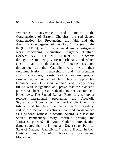seminaries, universities and studies, the Congregations of Eastern Churches, the sad Sacred Congregation for Propagating the faith and the disastrous Congregation of the Holy Office (or of the INQUISITION), etc. I recommend my investigative work concerning inquisition magazine Cultural Concept N.2. This INQUISITION still functions through the following Vatican Tribunals, and which exist in all the thousands of dioceses scattered throughout all the Catholic world: with their excommunications, censorships, and persecutions against Christians, priests, and all or any groups, associations, or authors which disobey or oppose her tyrannical laws. Her secret archives and history today fill us with indignation and prove that the Vatican's power has been possible thanks to her Satanic and Hitler laws. The Sacred Roman Rote (to clear up or resolve sacramental problems), the Apostolic Signature or Supreme court of the Catholic Church (a tribunal that has functioned since the 15th century, and whose mercantilist actions I can and do denounce as a personal witness in Seville, Spain), and last, the Sacred Penitentiary. Why continue proving the Vatican's powers? If your Catholic organization demonstrates that it is but an Unchristian Political State of National Catholicism? I am a Doctor in both Christian and Catholic history: a documented Monsignor.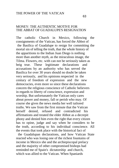#### MONEY: THE AUTHENTIC MOTIVE FOR THE ABBAT OF GUADALUPE'S RESIGNATION

The catholic Church in Mexico, following the consignments of the Vatican, has forced the Abbot of the Basilica of Guadalupe to resign for committing the mortal sin of telling the truth, that the whole history of the apparitions to the Indian Juan Diego is nothing more than another myth, as the miraculous image, the Tilma. Flowers, etc. with can not be seriously taken as beig true. These legitimate declarations and accusations by an authority who has served the Basilica for over 30 years should no doubt be taken very seriously, and his opinions respected in the century of freedom of expression and the new democracies, even more so since these declarations concern the religious conscience of Catholic believers in regards to liberty of conscience, expression and worship. But unfortunately the Vatican only cares about power and money, fall or perish who may. Of course she gives the news media her well tailored truths. We saw from the first minute that the Vatican herself denied, refused and contradicted his affirmations and treated the elder Abbot as a decrepit phony and denied him even the right that every citizen has to opine, judge and say when he considers to be the truth, according to his individual conscience. All the events that took place with the historical fact of

the Guadalupan declarations, and how Vatican State reacted who was losing one of the richest fountains of income in Mexico she and the archiepiscopal prelacy and the majority of other compromised bishops had reminded me of Spain's dictatorship and church, which was allied to the Vatican. When Spaniards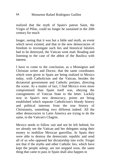realized that the myth of Spain's patron Saint, the Virgin of Pillar, could no longer be sustained in the 20th century for much

longer, seeing that it was but a fable and myth, an event which never existed, and that in the new democracies of freedom to investigate such lies and historical falsities had to be destroyed, the Vatican went mad. Reading and listening to the case of the abbot of the Basilica with interest.

I have to come to the conclusion, as a Monsignor and Christian writer and Doctor, that the same coordinates which were given in Spain are being realized in Mexico today, with Catholicism and the Vatican, besides the dictatorial government and Catholic prelates, directing the scene. As a matter of fact, I find Mexico even more compromised than Spain itself was, obeying the consignments of Vatican State to the letter. Luckily now in Spain's new democracy, points are being established which separate Catholicism's bloody history and political interests from the true history of Christianity, something very different indeed. All the other democracies in Latin America are trying to do the same, to the Vatican's Chagrin.

Mexico needs to follow suit and not be left behind, for we already see the Vatican and her delegates using their money to mobilize Mexican guerrillas. In Spain they were able to destroy the democratic republic and send all of us who opposed her dictatorship into exile. Forget not that if the myths and other Catholic lies, which have kept the people asleep, are not stopped soon, the same thing that came to pass in Spain shall also happen in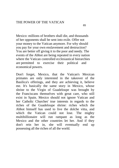Mexico: millions of brothers shall die, and thousands of her opponents shall be sent into exile. Offer not your money to the Vatican anymore. For why should you pay for your own enslavement and destruction? You are better off giving it to the poor and needy. The events of the Abbot are being repeated in every nation where the Vatican controlled ecclesiastical hierarchies are permitted to exercise their political and economical powers.

Don't forget, Mexico, that the Vatican's Mexican primates are only interested in the takeover of the Basilica's offerings, and they are achieving it, believe me. It's basically the same story in Mexico, whose shrine to the Virgin of Guadeloupe was brought by the Franciscans themselves with great care, who still exist in Spain. Mexico should not ignore Vatican and her Catholic Churches' true interests in regards to the riches of the Guadeloupe shrine: riches which the Abbot himself has used to live the dolche vitta, and which the Vatican could not lose. The mighty multibillionaire will run rampant as long as the Mexico and the other countries let her. And if they don't rein her in, she will eventually end up possessing all the riches of all the world.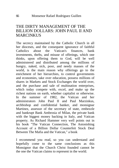## THE DIRTY MANAGEMENT OF THE BILLION DOLLARS: JOHN PAUL II AND **MARCINKUS**

The secrecy maintained by the Catholic Church in all her dioceses, and the consequent ignorance of faithful Catholics about the Vatican's finances, bank investments, thefts, and misuse of offerings, which one thinks, upon offering them to God, will be well administered and distributed among the millions of hungry, naked, sick, poor, and needy masses of the world, is the main reason why offerings go to the enrichment of her hierarchies, to control governments and economies, take over education, possess millions of shares in Markets and Stock Exchanges the world over, and the purchase and sale of multination enterprises, which today compete with, excel, and make up the richest nations on earth, whether capitalist or otherwise. In the summer of 1982, the Vatican and her administrators John Paul II and Paul Marzinkus, archbishop and confidential banker, and monsignar Martinez, assessor of the secretary of state, embezzle and bankrupt Bank Ambrosia of Milan, the private bank with the biggest money backing in Italy, and Vatican property. As Richard Hammer very well points out in his book "The Vatican Connection, The Astonishing Account of a Billion Dollar Counterfeit Stock Deal Between The Mafia and the Vatican," a book

I recommend you read, so you can understand and hopefully come to the same conclusions as this Monsignor that the Church Christ founded cannot be the one the Vatican claims to represent in the world.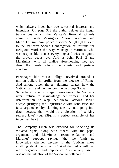which always hides her true terrestrial interests and intentions. On page 323 the author relates the illegal transactions which the Vatican's financial wizards committed with Monsignor Mario Fornasari and Mario Foligni; how police discover \$95,000,000 went to the Vatican's Sacred Congregation or Institute for Religious Works; the way Monsignor Martinez, who was responsible, denies everything and tries to ignore the proven deeds, etc. And as John Paul II and Marzinkus, with all malice aforethought, they too deny the deeds which the courts and justices condemn.

Personages like Mario Folligni revolved around 1 million dollars in profits from the diocese of Rome. And among other things, Hammer relates how the Vatican bank and the inter commerce group Nouva Since be show up in illegal transactions. The Vatican's utter refusal to acknowledge her crimes, and her determination to keep her illegal actions secret, always justifying the unjustifiable with scholastic and false arguments, by claiming she is, "not going into detail because that would be a violation of banking secrecy laws" (pg. 239), is a perfect example of her impenitent heart.

The Company Linch was expelled for soliciting its violated rights, along with others, with the papal argument and Marzinkus' recommendations and Martinez' support, saying, "that he (had) no knowledge whether anyone in the Vatican know anything about the situation." And then adds with yet more degeneracy and impudence: "But in any case it was not the intention of the Vatican to collaborate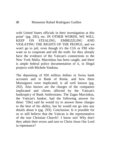with United States officials in their investigation at this point" (pg. 292), etc. IN OTHER WORDS, WE WILL KEEP ON STEALING, EMBEZZLING AND VIOLATING THE RIGHTS OF THE PEOPLE, and we won't go to jail, even though it's the CIA or FBI who want us to cooperate and tell the truth: for they already have the evidence of the Vatican's connections to the New York Mafia. Marzinkus has been caught, and there is ample federal police documentation of it, in illegal projects with Michele Sindona.

The depositing of 950 million dollars in Swiss bank accounts and in Bank of Rome, and how three Monsignors were implicated, is all well known (pg. 292). Also known are the charges of the companies implicated and clients affected by the Vatican's bankruptcy of Bank Ambrosiano. The Zagas Marcinkus, the Vatican's banker, had the following answer for them: "[He] said he would try to answer those charges to the best of his ability, but he would not go into any details about it (pg. 293). Conclusion: Is it possible for us to still believe that the Vatican is the representative of the true Christian Church?. I know not! Why don't they admit their errors and turn to Christ Jesus Our Lord in repentance?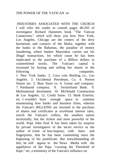INDUSTRIES ASSOCIATED WITH THE CHURCH I will refer the reader to consult pages 40-293 of investigator Richard Hammers book "The Vatican Connection," which will show you how New York, Los Angeles, Chicago are the centers of the dirty businesses and contacts of the Mafia, together with the banks in the Bahamas, the paradise of money laundering, where banker Marzinkus carries out his illegal transactions, for which cause he has been implicated in the purchase of a Billion dollars in counterfeited stocks. The Vatican's capital is increased by buying and selling her shares in the following companies.

1. New York banks. 2. Coca cola Bottling co., Los Angeles. 3. Occidental Petroleum, Co. 4. Norton Simon inc. 5. Bear Stern co. 6. Goose and company. 7. Nardatand company. 8. Switzerland Bank. 9. Multinational Investment. 10. McDonald Construction de Los Angeles. 12. Credit Suise. 13. Bank Exterior, etc. I wouldn't have enough space to continue enumerating how banks and business firms, wherein the Vatican's BILLIONS are invested in the purchase of shares and certificates at exorbitant interest rates, enrich the Vatican's coffers, the smallest nation territorially, but the richest and most powerful of the world. Pope John Paul II has been taken by surprise by private investigators of the secret service as the author of crime of lese-majesty, with hairs and fingerprints, that he has been committing since the beginning of his pontificate. But notwithstanding all this, he still appear in the News Media with the appellative of the Papa "crossing the Threshold of hope," etc, a testimony of the Vatican's influence on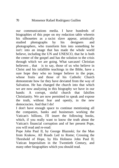our communications media. I have hundreds of biographies of this pope on my redaction table wherein his silhouettes as a racist slave appear, artistically studied photographs by his designers and photographers, who transform him into something he isn't: into an image that has made the whole world believe, including the UN and UNESCO, that he is both the center of the gospel and has the solution to the crisis through which we are going. What sarcasm! Christian believers , that is to say, those of us who believe in Christ and his infallible teachings in the Bible, have a sure hope they who no longer believe in the pope, whose fruits and those of his Catholic Church demonstrate how far they have deviated from the way of Salvation. He has changed the church into that which we are now analyzing in this biography we have in our hands: A corrupt, sinful church that falsifies Christianity. We are now permitted to speak and expose the truth, without fear and openly, in the new democracies. And that I do!

I don't have enough space to continue mentioning all the companies, banks and businesses working the Vatican's billions, I'll insert the following books, which, if you really want to know the truth about the Vatican's financial corruption and of her present Pope, you will read and re-read:

Pope John Paul II, by George Blaznski; for the Man from Krakow, All Roads Led to Rome; Crossing the Threshold of Hope, by His Holiness John Paul II; Vatican Imperialism in the Twentieth Century, and many other biographies which you should read.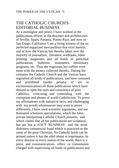## THE CATHOLIC CHURCH'S EDITORIAL BUSINESS

As a monsignor and priest, I have worked in the publications offices in the dioceses and archdioceses of Seville, Spain, Panama, Puerto Rico, and now in San Diego, California. I am a living witness of the so perfected organized mercantilism that exist therein, and of how the Vatican has thereby taken over the majority of journalism, literature, textbooks, bible printing, magazines and all kinds of parochial publications, bulletins, seminaries, missionary programs, etc. Thus she engrosses her coffers even more with the money collected thereby. During the centuries the Catholic Church and the Vatican have registered all kinds of publications, and have censured and prohibited (under penalty of sin or excommunication) all those publications which have desired to open the eyes and conscience of poor Catholics, criticizing and contending with the corruption and abuses of world Catholicism. To prove my affirmations with statistical facts, and challenging with my proofs whomsoever may want to prove differently, I have used scientific arguments, and not Romanist scholastic speculations, which the false, private interpreting Catholic Church presents, and which claims that all her publications are scriptural, but are but a JUICY BUSINESS: and the most dishonest commercial fraud which is practiced in the same of the poor Christian. No Catholic book can be printed unless it has the nihil obstat et imprimatur. In every diocese in every nation of the world, there is a press and communications office or commission charged with supervising all kinds of publications and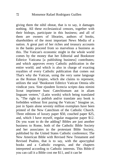giving them the nihil obstat, that is to say, it damages nothing. All these ecclesiastical censors, together with their bishops, participate in this business; and all of them are owners of libraries, authors of books, shareholders of the most important News Media of a nation. A great part of her riches and treasury accounts in the banks proceed from so marvelous a business as this. The Vatican's economic might in the whole world comes by the money that her Editorial and Bookstore Editrice Vaticana [a publishing business] contributes; and which approves every Catholic publication in the entire world; and which is also in charge of exacting royalties of every Catholic publication that comes out That's why the Vatican, using the very same language as the Roman Empire, which she claims to represent, utilizes the seal "Bookstore Editrice Vatican Omnia sibi vindicat yura. Sine ejusdem licencia scripto data nimini liceat imprimere hunc Catechismum aut in aliam linguam vertere," (Latin words) which being translated is, "The right to publish and/or translate any book is forbidden without first paying the Vatican." Imagine ye, just in Spain alone seventy million exemplars have been printed of the New Catechism of the Catholic Church. Three editions of luxury paper \$50, couched paper \$25, and, which I have myself, regular magazine paper \$12. Do you want to do the adding? Bibles are just another business to Rome, both of the Catholic Bible Society and her associates in the protestant Bible Society, published by the United States Catholic conference; The New American Bible with Revised New Testament and Revised Psalms, that is to say, with the apocryphal books and a Catholic exegesis, and the chapters interpreted according to Catholic interests. This Bible-if you can call it a Bible cost me \$11, and it can be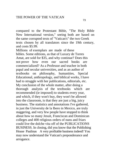compared to the Protestant Bible, "The Holy Bible New International version," seeing both are based on the same corrupted texts of "Vatican's" the two Greek texts chosen by all translators since the 19th century, and costs \$5.99.

Millions of exemplars are made of these bibles. Some editions, as that of Luxury de Torres Amat, are sold for \$35, and why continue? Does this not prove how even our sacred books are commercialized? As a Professor and teacher in both papal and secular universities, and as an author of textbooks on philosophy, humanities, Special Educational, anthropology, and biblical works, I have had to struggle with her publications, editorials, etc. My conclusion of the whole matter, after doing a thorough analysis of the textbooks which are recommended (ie imposed) to students every year, and which, if they won't buy, they won't be allowed into the classroom, is that they are just a big, juicy business. The statistics and annotations I've gathered, in just the University de la Ibero in Mexico, are truly staggering, and very few people have stopped to think about how so many Jesuit, Franciscan and Dominican colleges and 400 religious orders of nuns and friars could live the dolche vita off of the PUBLICATIONS BUSINESS. In closing, did you know that the Publishing House Paulinas A very profitable business indeed! You may now understand the Vatican's preponderance and arrogance.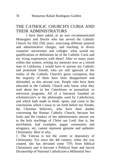## THE CATHOLIC CHURCH'S CURIA AND THEIR ADMINISTRATORS

I have been asked, as an non excommunicated Monsignor and Doctor who has served the Catholic Church for fifty (50) years, exercising different pastoral and administrative charges, and teaching in divers countries' universities and colleges: what would my qualifications or definitions be of the Catholic Curia and my living experiences with them? After so many years within that system, writing my memoirs now as a retired man in California, I would have to answer my Catholic and protestant friends, who are still ignorant of the reality of the Catholic Church's gross corruption, that the majority of them have been disappointed and defrauded, as this servant was. People who have been educated in the Catholic Church only know what they read about her in her Catechisms or journalistic or television programs. All of a literature founded on scholasticism's or the philosophy used by Catholicism, and which hath made to think, opine, and come to the conclusions which I essay to set forth before my friends, the Christian believers, who have their doubts concerning the Roman Catholic Church, because her fruits and the conduct of her administrators answer not to the holy teachings of Christ our Lord: that is, her enrichment, bad examples, pagan ceremonies and arrogance, etc, cannot represent genuine and authentic Christianity. Here in why.

1. The Vatican is not the center or depository of Christianity. For since the 4th century, when she was created, she has deviated some 75% from biblical Christianity and is become a Political State and fascist Dictatorship of National Catholicism-a Millennial Sect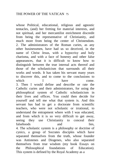whose Political, educational, religious and agnostic tentacles, (and) her fretting for material interests, and not spiritual, and her mercantilist enrichment discredit from being the representative of Christianity, and much more from being the center of Christendom. 2. The administrators of the Roman curies, as any other businessmen, have had us so deceived, in the name of Christ Jesus, with a hypocrisy and holy charisma, and with a face of honesty and other false appearances, that it is difficult to know how to distinguish between the true internal acts thereof and those of the scholasticism that surrounds all their works and words. It has taken his servant many years to discover this, and to come to the conclusions to which I have come. 3. Then I would define and describe or rate the Catholic curies and their administrators, for using the philosophical system of Catholic scholasticism in their lives and offices. You could then decide for yourself and tell me what that system is. And this servant has had to get a doctorate from scientific teachers, who were not scholastic or irrational, to understand the entrapment where with I was educated, and from which it is so very difficult to get away, seeing they use Christianity to conceal their falsehoods and lies, 4. The scholastic system is a philosophy or doctrine of cynics, a group of Socrates disciples which have separated themselves from the truth, whose founder was Antistenes and Diogenes, who also separated themselves from true wisdom (my book Essays on the Philosophical foundations of Education). This system is defined by the Royal Academy as a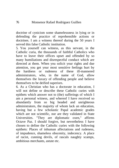doctrine of cynicism some shamelessness in lying or in defending the practice of reprehensible actions or doctrines. I am a witness thereof during the 50 years I served this false Catholic institution.

5. You yourself can witness, as this servant, in the Catholic curia, the thousands of faithful Catholics who have to leave their offices upset and offended by so many humiliations and disrespectful conduct which are directed at them. When you solicit your rights and due attention, you get your most sensitive feelings hurt by the hardness or rudeness of these ill-mannered administrators, who, in the name of God, allow themselves the luxury of offending people and believe themselves to be deified superiors.

6. As a Christian who has a doctorate in education, I will not define or describe these Catholic curies with epithets which answer not to (the) sufferings of which I am a personal witness, and whereof I have received so abundantly from so big headed and unrighteous administrators, the majority of whom lack an education, having but a few scholastic Papal academic grades which are not scientific, nor are they validated in State Universities. "They are diplomatic oxen," affirms Octave Paz. I should forgive, but nevertheless I have chosen to define the Catholic curies with the following epithets: Places of inhuman affectations and rudeness, of impudence, shameless obscenity, indecency. A place of racist, cunning devils, of rascals naughty scamps, ambitious merchants, astute etc.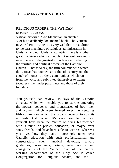#### RELIGIOUS ORDERS: THE VATICAN ROMAN LEGIONS

Vatican historian Avro Manhattan, in chapter V of his excellently documented book "The Vatican in World Politics," tells us very well that, "In addition to the vast machinery of religious administration in Christian and non Christian countries, there is another great machinery which although not so well known, is nevertheless of the greatest importance in furthering the spiritual and political powers of the Catholic Church." That is to say, the fifth columns with which the Vatican has counted since the 4th century and the epoch of monastic orders, communities which ran from the world and submitted themselves to living together either under papal laws and those of their founders.

You yourself can review Holidays of the Catholic almanac, which will enable you to start enumerating the houses, convents, and monasteries of both men and women which were formed over the centuries fifth columns on which the papacy depends to sow its scholastic Catholicism. It's very possible that you yourself have been the Victim of being brainwashed with a nun's or priest's education, or maybe your sons, friends, and have been able to witness, wherever you live, how they have increasingly taken over Catholic education with such professionalism and consecration, even fanatical devotion, toward guidelines, curriculums, criteria, rules, norms, and consignments of the Vatican. One of the hardest working departments of the Holy See is called Congregation for Religious Affairs, and the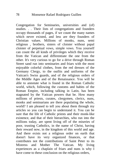Congregation for Seminaries, universities and (of) studies. . . Their lists of congregations and founders occupy thousands of pages, if we count the many names which never existed, and less are they founders of Christian values. Millions of monks, nuns, semi religious , brothers, sisters of cloister without papal cloister of perpetual vows, simple vows. You yourself can count the all kinds of privileges which they receive from the Vatican and differentiate the one from the other. It's very curious to go for a drive through Roman Street sand run into seminaries and friars with the most enjoyable colorful clothes, from the red dresses of the Germany Clergy, to the outfits and uniforms of the Vatican's Swiss guards, and of the religious orders of the Middle Ages and of the Renaissance. You will be able to annotate what is found in the Roman Catholic world, which, following the customs and habits of the Roman Empire, including talking in Latin, has been stagnated by the Vatican powers that be. How many millions of priests, curates, clergymen, clerics, nuns, monks and seminarians are there populating the whole, world? I am pleased to tell you about them through my articles so you can begin to understand it. You can be sure that the life of Catholic priests and their monk-like existence, and that of their hierarchies, who run into the millions today, are spent living off of the miseries of poor, trusting Catholics, in the name of Christ, having their reward now, in the kingdom of this world and age. And there exists not a religious order on earth that doesn't have its very organized finances, or that contributes not the contributions of Saint Peter to its Mistress and Mother The Vatican. My living experiences as a chaplain of friars and nuns is why I have come to these conclusion on the religious orders,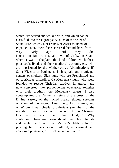which I've served and walked with, and which can be classified into three groups: A) nuns of the order of Saint Clare, which Saint Francis of Assisi founded, of Papal cloister, their faces covered behind bars from a very early age until they die. I recall in Bornes, a small town of Cadiz, in Spain, where I was a chaplain, the kind of life which these poor souls lived, and their medieval customs, etc, who are imprisoned by the Mother of. . . Abominations. B) Saint Vicente of Paul nuns, in hospitals and municipal centers or shelters. Sick nuns who are Frenchified and of capricious discipline. C) Mercenary nuns who were founded to rescue Christian captives in Africa, and now converted into preponderant educators, together with their brothers, the Mercenary priests. I also contemplated the Carmelite sisters of the cross, of the Divine Pastor, of the sacred Heart, slaves, servants of Mary, of the Sacred. Hearts, etc. And of men, and of Whom I was chaplain, Salesians (members of the society of saint. Francis of sales), of the Christian Doctrine , Brothers of Saint John of God, Etc. Why continue?. There are thousands of them, both female and male, who are the Vatican's fifth columns, pushing her divers social, cultural, educational and economic programs, of which we are all victims.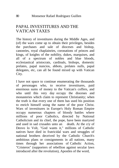## PAPAL INVESTITURES AND THE VATICAN TAXES

The history of investitures during the Middle Ages, and (of) the wars come up to obtain their privileges, besides the purchases and sale of dioceses and bishop, canonries, royal chaplainries, coronations of princes and kings, of knights of the nobility, dukes, marquises, and all of a spectrum of nobles and blue bloods, ecclesiastical aristocrats, cardinals, bishops, domestic prelates, papal nuncios, abbots, prelates nulls, papal delegates, etc, can all be found mixed up with Vatican City.

I have not space to continue enumerating the thousands of personages who, to receive investitures, paid enormous sums of money to the Vatican's coffers, and who until this very day occupy the dioceses and monasteries which claim to represent Christianity; when the truth is that every one of them has used his position to enrich himself using the name of the poor Christ. Wars of investitures in Europe's Holy Roman Empire occupy numerous chapters of bloody battles where millions of poor Catholics, directed by National Catholicism and its chief, the pope, have been martyred and used in sad crusades unto an death. At the cry of Deovo lo Volt, "God wants it," millions of Catholic natives have died in fratricidal wars and struggles of national brothers deceived by the Catholic Church's ambitious plans or consignments in all nations, many times through her associations of Catholic Action, "Cristeros" (supporters of rebellion against secular laws introduced after the revolution), Apostles of the word,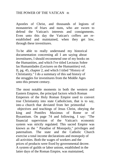Apostles of Christ, and thousands of legions of monasteries of friars and nuns, who are sworn to defend the Vatican's interests and consignments. Even unto this day the Vatican's coffers are reestablished and maintained, when they get low, through these investitures.

To be able to really understand my historical documentation concerning all I am saying about investitures, I should recommend one of my books on the Humanities, and which I've titled Lecturas Sobre las Humanidades (Lectures on the Humanities) vol. II, pg. 45, chapter 2, and which I titled "History of Christianity." I do a summary of this sad history of the struggles for investitures from the Middle Ages unto this present century.

The most notable moments in both the western and Eastern Empires, the principal factors which Roman Emperors of the Holy Roman Empire used to convert true Christianity into state Catholicism, that is to say, into a church that deviated from her primordial objectives and teachings of Jesus Christ, obeying the king and Pontifex Maximus of Rome or of Byzantium. On page 74 and following, I say: "The financial supervision of the Vatican's economic system was strictly regulated. This sacred Empire was known as the " Paradise of Monopoly," privileges and paternalism. The state and the Catholic Church exercise a total income declarations and monopoly of all activities. Both the wages of workers and the prices of products were fixed by governmental decree. A system of guilds or labor unions, established in the latter days of the Roman Empire, was maintained,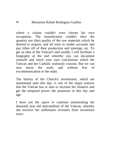where a citizen couldn't even choose his own occupation. The manufacturer couldn't elect the quantity nor (the) quality of the raw materials which he desired to acquire, and all were to render accounts and pay tithes off of their production and earnings, etc. To get an idea of the Vatican's and wealth, I will facilitate a biography at the end whereby you can document yourself and reach your own conclusions which the Vatican and her Catholic zealously conceal. But we can now know the truth, and without fear of excommunication or the stake.

The history of the Church's investitures, which are maintained unto this day, is one of the major sources that the Vatican has or uses to increase her finances and get the temporal power she possesses in this day and age.

I have not the space to continue enumerating the thousand year old mercantilism of the Vatican, whereby she receives her millionaire revenues from investiture taxes.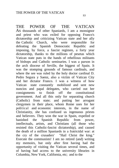THE POWER OF THE VATICAN As thousands of other Spaniards, I am a monsignor and priest who was exiled for opposing Franco's dictatorship and criticizing Vatican state and her ally the Catholic Church, who were responsible for defeating the Spanish Democratic Republic and imposing, by force, a fascist regimen, a forty year dictatorship, thanks to the millions of pesetas which Vatican state puts in the hands of rebellious militants of bishops and Catholic seminaries. I was a parson in the arch diocese of Seville, the biggest of Spain. It was the stomping grounds of famous cardinals, and where the see was ruled by the holy doctor cardinal D. Pedro Segura y Saenz, also a victim of Vatican City and her dictator Franco. I was a witness of how Vatican state constantly mobilized and sent new nuncios and papal delegates, who carried out her consignments to finish off the constitutional government. And all this only for separating church (Catholic) from state; and putting her arrogant clergymen in their place, whom Rome uses for her political and economic interests, in the name of Christianity, she has confused us ingenuous priests and believers. They won the war in Spain, expelled or banished the Spanish Republic from power, intellectuals, artists, and Christians (all those who resisted this Catholic-fascist dictatorship), and caused the death of a million Spaniards in a fratricidal war: at the cry of the crusaders' "Hail Christ the king." Execute the communists! I am no retired (and) writing my memoirs, but only after first having had the opportunity of visiting the Vatican several times, and of having had access to the university libraries in Columbia, New York, California, etc; and to the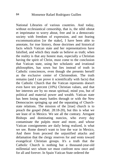National Libraries of various countries. And today, without ecclesiastical censorship, that is, the nihil obstat et imprimatur to worry about, free and in a democratic society with freedom of expression, and not fearing excommunication [or the stake], I have been able to annotate, for true history, those doctrines and historical facts which Vatican state and her representatives have falsified, and which they made us believe as truth; when the reality is that any honest man, especially a Christian having the spirit of Christ, must come to the conclusion that Vatican state, using her scholastic and irrational philosophies, has sown but lies instead of truth in Catholic consciences, even though she presents herself as the exclusive center of Christendom. The truth remains (and I can prove it scientifically with facts) that the Catholic Church that the Vatican represents doesn't even have ten percent (10%) Christian values, and that her interests are by no mean spiritual, mind you, but of political and material power and wealth. Vatican state has been losing many battles through or with the New Democracies springing up and the separating of Churchstate relations. The mission of the [true] church is to preach the gospel (Matt. 28:18-20), but this is what we see least of in Mexico. We see all the contrary. Arrogant Bishops and dominating nuncios, who every day contaminate the pulpits more and more, and whose Vatican consignments are daily being realized, is what we see. Rome doesn't want to lose the war in Mexico, And there from proceed the unjustified attacks and defamation that the clergy reserves for and vents toward evangelical Christian groups. It's a truth that the Catholic Church is nothing but a thousand-year-old millennial sect whom we must confront now once and for all and forever. In Spain Vatican State ordered the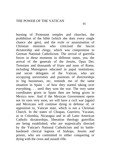burning of Protestant temples and churches, the prohibition of the bible [which she does every single chance she gets], and the exile or assassination of<br>Christian ministers who criticized the fascist Christian ministers who criticized the fascist dictatorship and clergy, which was compromise to German National Catholicism. The arrival of guerrilla forces in these moments in different states, yea, the arrival of the generals of the Jesuits, Opus Dei, Teresians and thousands of friars and nuns of Rome, including Monsignors educated in papal institutions, and secret delegates of the Vatican, who are occupying universities and positions of directorships in big businesses, etc, reminds me of the same situation in Spain - of how they started taking over everything. . . until they won the war. The very same coordinates given in Spain then are being given in Mexico now. And if the Mexican Government opens not its eyes very soon, we will have a cicil war [again] and Mexicans will continue dying in defense of, or opposition to, Vatican state, which is not a Christian Church. In the states of Chiapas, Guerrero, Yucatan, as in Colombia, Nicaragua and in all Latin American Catholic dictatorships, liberation theology guerrillas are being established, who are majestically directed by the Vatican's National Catholicism and its battlehardened clerical legions of bishops, Jesuits and priests, who are committed to either conquering or dying with the cross and assault rifle.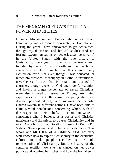## THE MEXICAN CLERGY'S POLITICAL POWER AND RICHES

I am a Monsignor and Doctor who writes about Christianity and its pseudo representative, Catholicism. During the years I have endeavored to get acquainted, through my doctorates and biblical studies (and not fearing excommunication or ecclesiastical censorship) in the United States, with the true history of Christianity. Forty years in pursuit of the true church founded by Jesus Christ on earth and her teachings, characteristics, etc, if so be that this church really existed on earth. For even though I was educated, or rather brainwashed, thoroughly in Catholic institutions, nevertheless I saw that Protestant and evangelical churches, though closer to God and true Christianity, and having a bigger percentage of saved Christians, were also in need of restoration. Through my living experiences within Catholicism, occupying the most diverse pastoral duties, and knowing the Catholic Church system in different nations, I have been able to come several conclusions concerning which, with all due respect to their beliefs, I cannot but write in conscience what I believe, as a doctor and Christian missionary and Ex priest, to be true Christianity and its rival, Catholicism. Two totally different CONCEPTS. Vatican State's power and riches are incalculable. This whore and MOTHER of ABOMINATIONS has very well known how to exploit Christianity in the occidental culture, to make people see her as the sole representative of Christianity. But the history of the centuries testifies how she has carried on her power politics and acquired her riches, and how she has taken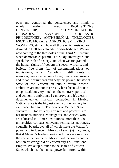over and controlled the consciences and minds of whole nations through INQUISITIONS, CENSORSHIP, EXCOMMUNICATIONS<br>CRUSADES. SLANDERS. SCHOLASTIC CRUSADES, SLANDERS, SCHOLASTIC PHILOSOPHIES, ANTI-BIBLICAL THEOLOGIES, ESOTERIC MORALS, AGNOSTICISM, LYING WONDERS, etc; and how all those which resisted are damned to Hell fires already for disobedience. We are now coming to the thresholds of the Third Millennium when democracies permit us to study, investigate, and speak the truth of history, and when we are granted the human rights of freedom of speech, worship, and beliefs, free from fear of excommunications or inquisitions, which Catholicism still wants to maintain, we can now come to legitimate conclusions and reliable arguments and defy this power Dictatorial State of the Vatican on public forum, whose ambitions are not nor ever really have been Christian or spiritual, but very much on the contrary, political and economic ambitions. I can prove-and it's clearly documented-her financial corruption in Mexico. Vatican State is the biggest enemy of democracy in existence, bar none. The power of Vatican State survives still today. Very arrogant and powerful are her bishops, nuncios, Monsignors, and clerics, who are educated in Rome's Institutions, more than 300 universities, colleges, convents, seminaries, patroness, councils, boards, etc. all of which make the Vatican's power and influence in Mexico of such (a) magnitude, that if Mexico's leaders don't check her very soon, as they do in democracies, Mexico will become another bastion or stronghold of Vatican city's Multinational Empire. Wake up Mexico to the snares of Vatican State, which is the most powerful force within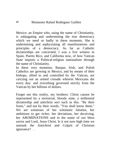Mexico: an Empire who, using the name of Christianity, is subjugating and undermining the true democracy which we need so badly in these moments. She is undermining and asphyxiating all manifestations and principles of a democracy. As far as Catholic dictatorships are concerned, I was a live witness in Spain, Puerto Rico, and California now, of how Vatican State imports a Political-religion nationalism through the name of Christianity.

In these very moments, Basque, Irish, and Polish Catholics are growing in Mexico, and by means of their bishops, allied to and controlled by the Vatican, are carrying out an armed crusade wherein Mexicans die every day: and everything governed strictly from the Vatican by her billions of dollars.

Forget not this reality, my brothers: Christ cannot be represented by a terrestrial, bloody state, a millennial dictatorship and antichrist sect such as this. "By their fruits," and not by their words, "You shall know them." We are witnesses of her scholastic falsities, her ambitions to get richer, her deviations, her deceiving, her ABOMINATIONS and in the name of our bless savior and Lord, Jesus Christ. Is it not now high time we unmask the Antichrist and Culprit of Christian ignorance? .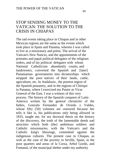#### STOP SENDING MONEY TO THE VATICAN: THE SOLUTION TO THE CRISIS IN CHIAPAS

The sad events taking place in Chiapas and in other Mexican regions are the same as the events which took place in Spain and Panama, whereto I was called to live as a missionary and priest. The arrival of the Vatican's New Nuncio, and the appointments of the primates and papal political delegates of the religious orders, and of lay political delegates with whom National Catholicism abundantly counts, and landowners, converted the Spanish and [later] Panamanian governments into dictatorships which stripped the poor natives of their lands, cattle, agriculture, etc. In Andalusia , the poorest region of the Spanish peasantry, and in the regions of Chiriqui in Panama, where I exercised my Pastor as Vicar General of the East, I was a witness of this very process. The history of the Spanish conquest of Latin America written by the general chronicler of the Indies, Gonzalo Fernandez de Oviedo y Valdes, whose fifty (50) volumes are censored because her tells it like is, his publications only being allowed in 1835, taught me, for my doctoral thesis on the history of the discovery, the truth of the lamentable deeds and atrocities which both (the) ambitious soldiers and Catholic missionaries, with the Vatican's and the Catholic king's blessings, committed against the indigenous cultures. The present case in Chiapas, as well as the case of the poverty in Seville, Spain, in the poor quarters and areas of la Corza, Arbol Gordo, and Fontanal, of the municipal shelter under my authority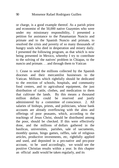or charge, is a good example thereof. As a parish priest and economist of the 50,000 native Guaymies who were under my missionary responsibility, I presented a petition for assistance to the Panamanian Nuncio and primate and to the Spanish Nuncio and primate, to resolved the crisis and poverty of so many thousands of hungry souls who died in desperation and misery daily. I presented the following program, as that which is now being presented in Mexico, whereby I try to contribute to the solving of the natives' problem in Chiapas, to the nuncio and primate. . . and through them to Vatican

1. Cease to send the millions collected by the Spanish dioceses and their mercantilist businesses to the Vatican. Millions which rightfully should be dedicated to the erection of schools, hospitals, and community food centers, and to agricultural equipment, the just distribution of cattle, clothes, and medication to them that cultivate the lands. By this means a thousand million dollars could be reserved and justly administered by a committee of conscience. 2. All salaries of bishops, priests, and politicians, whose bank accounts are already overflowing with the alms and offerings of poor peasants, which, according to the teachings of Jesus Christ, should be distributed among the poor, should be checked. If this were effectively done, and the millions of dollars gathered in the basilicas, universities, parishes, sale of sacraments, monthly quotas, bingo games, raffles, sale of religious articles, productive investments, etc, rightfully applied and used, and deposited in a pro-native and pro-poor account, to be used accordingly, we would see the positive Christian results within a year. In this chapter an official audit would be taken regularly, and its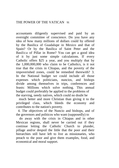accountants diligently supervised and paid by an oversight committee of conscience. Do you have any idea of how many millions of dollars could by offered by the Basilica of Guadalupe in Mexico and that of Spain? Or by the Basilica of Saint Peter and the Basilica of Pillar in Rome? You can get a good idea of it by just some simple calculations. If every Catholic offers \$25 a year, and you multiply that by the 1,000,000,000 who claim to be Catholics, is it not true that the crisis in Chiapas, and the poverty of the impoverished zones, could be remedied therewith? 3. In the National budget we could include all those expenses which politicians, nuncios, and bishops divide among themselves in trips, conferences and feasts: Millions which solve nothing. This annual budget could preferably be applied to the problems of the starving, needy natives, which could no doubt be

much better and more Christian than giving it to the privileged class, which bleeds the economy and contributes to the nation's poverty.

4. The objectives of the Nuncio and bishops, and of the governors and politicos who want (supposedly) to

do away with the crisis in Chiapas and in other Mexican regions, shall never be carried out if they continue letting the Catholic Church to plunder, pillage and/or despoil the little that the poor and their hierarchies still have left to live as missionaries, who preach to the poor and give them examples, food, and economical and moral support.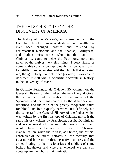# THE FALSE HISTORY OF THE DISCOVERY OF AMERICA

The history of the Vatican's, and consequently of the Catholic Church's, business dealings and wealth has ever been changed, twisted and falsified by ecclesiastical historians and the Spanish, Portuguese, and Italian missionaries who, in the name of Christianity, came to seize the Patrimony, gold and silver of the natives' very rich mines. I don't affirm or come to this conclusion capriciously just because I want to belittle, slander, or discredit the church that educated me, though falsely; but only once [or after] I was able to document myself with a scientific doctorate in history, in the University of Madrid.

In Gonzalo Fernandez de Oviedo's 50 volumes on the General History of the Indies, theme of my doctoral thesis, we can find the reality of the arrival of the Spaniards and their missionaries to the Americas well described, and the truth of the greedy conquerors' thirst for blood and loot expertly narrated. It's definitely not the same (as) the General History of the Indies which was written by the first bishops of Chiapas, nor is it the same history written by Franciscan, Jesuit, Dominican, and ecclesiastical chroniclers, who are all rich and would have us believe a history of Christian evangelization, when the truth is, as Oviedo, the official chronicler of the Indies, narrates, all the contrary: that is, a mortal blow to the thriving native cultures, and the armed looting by the missionaries and soldiers of some bishop Inquisitors and viceroys, whereof we can still contemplate the inhuman victimization,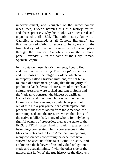impoverishment, and slaughter of the autochthonous races. Yea, Oviedo narrates this true history for us, and that's precisely why his books were censured and unpublished until 1895. The only history known to Catholics is censured, as all Catholic literature," and this has caused Catholic readers to be ignorant of the true history of the sad events which took place through the fanatical Catholics whom the immoral pope Alexander VI in the name of the Holy Roman/ Spanish Empire.

In my data on these historic moments, I could find and mention the following. The bishops' residences and the houses of the religious orders, which are improperly called Christian missions, are not but a fountain of enrichment, proving that the majority of productive lands, livestock, treasures of minerals and cultural treasures were sacked and sent to Spain and the Vatican to construct the biggest of basilicas, Cathedrals, and the great houses of the Jesuits, Dominicans, Franciscans, etc, which cropped not up out of thin air, a you yourself can contemplate, but proceed of the riches looted from the Americas, the tithes imposed, and the treasures which the lords of the native nobility had, many of whom, for only being rightful owners of properties, died at the stake of the INQUISITION, after having their treasures and belongings confiscated: In my conferences in the Mexican States and in Latin America I am opening many consciences concerning the deceit we have suffered on account of this false Catholic history, and I admonish the believer of his individual obligation to study and acquaint himself with the other side of the money, that is, (with) the true history of the discovery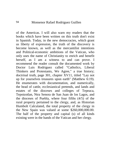of the Americas. I will also warn my readers that the books which have been written on this truth don't exist in Spanish. Today, in the new democracies, which grant us liberty of expression, the truth of the discovery is become known, as well as the mercantilist intentions and Political-economic ambitions of the Vatican, who only uses the name of Christianity to enrich and benefit herself, as I am a witness to and can prove. I recommend the reader consult the documented work by Doctor Luis Rodriguez called "Catholics, Liberal Thinkers and Protestants, We Agree," a true history; doctrinal truth, page 301, chapter XV11, titled "Lay not up for yourselves treasures upon earth" (Matthew 6:19). He enumerates with documentation, and numerically, the head of cattle, ecclesiastical pretends, and lands and estates of the dioceses and colleges of Tepeaca, Tepotzotlan, Ntra Senora de San Juan de los Lagos, and the dioceses of Puebla, where four fifths (4/5) of the rural property pertained to the clergy, and, as Historian Humbolt Calculated, the total property of the clergy in the New Spain was valued at some \$260,000,000.00. The half of the property and capital (s) of all kinds existing were in the hands of the Vatican and her clergy.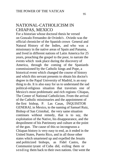### NATIONAL-CATHOLICISM IN CHIAPAS, MEXICO

For a historian whose doctoral thesis he versed on Gonzalo Fernandez de Oviedo's . Oviedo was the official chronicler of the Spanish crown General and Natural History of the Indies, and who was a missionary in the native areas of Spain and Panama, and lived in different nations of Latin America for 25 years, preaching the gospel to the poor, to narrate the events which took place during the discovery of America, through the coming of the Spaniards commissioned by the Catholic kings and Pope, a historical event which changed the course of history and which this servant presents to obtain his doctor's degree in the Papal University of Madrid, is an easy thing to do. It is also easy for us to understand the sad political-religious situation that traverses one of Mexico's most problematic and rich regions: Chiapas, The Center of National Catholicism. From the arrival of the Catholic missionaries and the appointment of the first bishop, P. Las Casas, INQUISITOR GENERAL in Mexico, to the naming of Samuel Ruiz, Bishop of San Cristobal, the very same situation continues without remedy, that is to say, the exploitation of the Native, his disappearance, and the despoilment of his Patrimony and culture at the point of the gun. The cause of this so incongruous a Chiapan history is very easy to end, as it ended in the United States, Puerto Rico, and in all those other states which smartened up and expelled the Jesuits and politicized bishops, as Fidel Castro, the Communist tyrant of Cuba did, exiling them or sending them back to their own nations. Out went the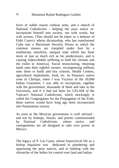force of subtle reason without arms, and a church of National Catholicism - helping the poor native reincorporate himself into society, not with words, but with actions. [This should not be taken as a defense of Fidel Castro's atheist dictatorship, who has transformed Cuba into a Maximum Security Prison in which the common masses are trampled under foot by a totalitarian, antichrist, unequal state which has done more or just as much evil as his predecessors, and is causing indescribable suffering to both his citizens and the exiles in America]. Social restructuring, returning lands unto their rightful owners, recompensing millions unto them to build and buy schools, Health Centers, agricultural implements, food, etc. In Panama's native zone of Chiriqui, when I was Vicarius of the 50,000 Indian Guaymies, I was able to incorporate, together with the government, thousands of them and take to the University, and if it had not been for CELAM of the Vatican's National Catholicism, which mockingly is called the Congregation for the Propagation of the Faith, these natives would have long ago been incorporated into Panamanian society.

As soon as the Mexican government is well advised and not by bishops, Jesuits, and priests commissioned by National Catholicism, whose tactics and consignments are all designed to take over power in Mexico .

The legacy of P. Las Casas, whose hypocritical life as a bishop Inquisitor was dedicated to plundering and oppressing the poor natives, and to battling with the chronicler of the Indies for control over land and Indian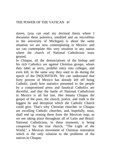slaves, (you can read my doctoral thesis where I document these polemics, unedited and on microfilms in the university of Michigan) is about the same situation we are now contemplating in Mexico: and we can contemplate this very situation in any nation where the church of National Catholicism loses ground.

In Chiapas, all the denunciations of the bishop and his rich Catholics are against Christian groups, whom they label as sects, prohibit entry into colleges, and even kill, in the same way they used to do during the epoch of the INQUISITION. We can understand that forty percent of Mexico has already left off being Catholic, (and) how statistics presented to the people by a compromised press and fanatical Catholics are deceitful, and that the battle of National Catholicism in Mexico is all but lost. Her lemma Chiapas the gospel of the poor, the church, justice, and truth is the biggest lie and deception which the Catholic Church could give. That's why Christian churches in Chiapas are excelling Catholic churches, and, hopefully, soon, shall end up erasing them from the Mexican map, as we see taking place throughout all of Latin and Brazil. National Catholicism, in these moments, is being conquered by the true church, "The Light of the World," a Mexican movement of Christian restoration which is the only solution to the problems of the natives in Chiapas.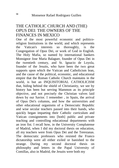### THE CATHOLIC CHURCH AND (THE) OPUS DEI: THE OWNERS OF THE FINANCES IN MEXICO

One of the most powerful economic and politicoreligion Institutions in the world, and which represents the Vatican's interests so thoroughly, is the Congregation of Opus Dei, or work of God in English. The Holy Mafia, so named by international bankers Monsignor Jose Maria Balaguer, founder of Opus Dei in the twentieth century, and St. Ignacio de Loyola, founder of the Jesuits, who have been the two great supports upon which the Vatican and Catholicism lean, and the cause of the political, economic, and educational empire that the Roman Catholic Church maintains in the world, is but an INQUISITORIAL CATHOLICISM that, hiding behind the shield of Christianity, we see by history has been but serving Mammon as its principle objective, and not precisely the Christian valves laid down by our Savior. I remember , in Spain, the arrival of Opus Dei's columns, and how the universities and other educational organisms of a Democratic Republic and wise secular teachers passed into their hands, who quickly began imparting their Catholic curriculum and Vatican consignments into [both] public and private teaching and controlling educational departments with an iron fist. I recall how, in the University Complutense of Madrid, when I did my doctoral thesis on education, all my teachers were from Opus Dei and the Teresianas. The democratic professors who resisted the Franco dictatorship were all either exiled or banished to the strange. During my second doctoral thesis on philosophy and letters in the Papal University of Comillas, also in Madrid, the Jesuits were both my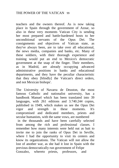teachers and the owners thereof. As is now taking place in Spain through the government of Aznar, so also in these very moments Vatican City is sending her most prepared and battle-hardened hosts to her unconditional servants of the Opus Dei. The unconditional servants of the Opus Dei. The consignments and objectives of Vatican state, as they've always been, are to take over all educational, the news media, companies and banks, etc. Many of these soldiers, with their thorough experience and training would put an end to Mexico's democratic government at the snap of the finger. Their members, as in Madrid, are already occupying advanced administrative positions in banks and educational departments, and they have the peculiar characteristic that they obey [blindly] the Vatican's direct orders, and not Mexican bishops'.

The University of Navarra de Deuston, the most famous Catholic and nationalist university, has a handbook Manuel which has been translated into 39 languages, with 261 editions and 3.740.244 copies, published in 1949, which makes us see the Opus Dei vigor and strength in these moments. It's compromised and dedicated members, priests and secular humanists, with the same vows, are numbered

in the thousands and have been carefully selected from among the rich and professional classes. I remember how many interests were held out as bait to invite me to join the ranks of Opus Dei in Seville, where I had the opportunity to visit its centers and know its organizations. The Vatican will not allow the lost of another war, as she had it lost in Spain with the previous democratically run government of Felipe Gonzalez, whereto priests, professors, and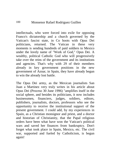intellectuals, who were forced into exile for opposing Franco's dictatorship and a church governed by the Vatican's fascist state, in Co hoots with Opus Dei politicians, returned. The Vatican in these very moments is sending hundreds of paid soldiers to Mexico under the lovely name of "Work of God," Opus Dei. A wealthy, political Catholic God who will progressively take over the reins of the government and its institutions and agencies. That's why with 29 of their members already in key government positions in the new government of Aznar, in Spain, they have already begun to win the already lost battle.

The Opus Dei army, as the Mexican journalists San Juan a Martinez very truly writes in his article about Opus Dei (Proceso 30 June 1996) "amplifies itself in the social sphere, and besides its politicians, it now includes businessmen, financiers, judges, soldiers, editors, publishers, journalists, doctors, professors who see the opportunity to receive the institutional support of the present government. I could add, by my experiences in Spain, as a Christian monsignor and priest, and a doctor and historian of Christianity, that the Papal religious orders have been what have won the Vatican's political wars and saved her finances from bankruptcy. Don't forget what took place in Spain, Mexico, etc. The civil war, supported and fueled by Catholicism, is begun again!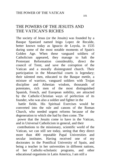## THE POWERS OF THE JESUITS AND THE VATICAN'S RICHES

The society of Jesus (or the Jesuits) was founded by a Basque Spaniard named Inigo Lopez de Recalde, better known today as Ignacio de Loyola, in 1535 during some of the most notable moments of Spain's Golden Age. When these vanguard soldiers of Catholicism appeared, they manage to halt the Protestant Reformation considerably, direct the council of Trent, and save the corruption of the Vatican and a morally disintegrated church. Their participation in the Monarchial courts is legendary; their talented men, educated to the Basque mettle, a mixture of warriors, vanguard soldiers with Trojan discipline and Athenian wisdom, thousands of potentates, rich men of the most distinguished Spanish, French, and European nobility, are attracted by the Catholic-Christian ways of perfection of its founder, who was also a soldier and fighter in the

battle fields. His Spiritual Exercises would be converted into the rule and canons of the Roman Church, who needed urgent reforms because of the degeneration to which she had by then come. The

power that the Jesuits come to have in the Vatican, and in Universal Catholicism in general, and their

contributions to the missionary, scientific world of the Vatican, we can still see today, seeing that they direct more than 400 reputable Papal Universities and secular institutes. Having received one of my doctorates in the Pontifical University of Spain, and being a teacher in her universities in different nations, of her Catholic-scholastic programs, and other educational organisms in Latin America, I am still a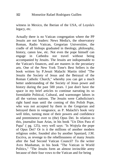witness in Mexico, the Iberian of the USA, of Loyola's legacy, etc.

Actually there is no Vatican congregation where the PP Jesuits are not leaders: News Media's, the observatory Roman, Radio Vatican, Gregorian Universities, the cradle of all bishops graduated in theology, philosophy, history, canon law, etc. Not even the pope himself can engage in Cathedra nor travel without being accompanied by Jesuits. The Jesuits are indispensable to the Vatican's finances, and are masters in the pecuniary arts. One of the New York Time's Best Sellers is the book written by P.Jesuit Malachi Martin titled "The Jesuits the Society of Jesus and the Betrayal of the Roman Catholic Church," whereby you can get a much better understanding of the Society of Jesus power and history during the past 500 years. I just don't have the space in my brief articles to continue narrating its so formidable Political, Cultural, and warmonger labors in all the various nations. The Jesuits were Catholicism's right hand man until the coming of this Polish Pope, who was not accepted by them in the Gregorian and betrayed them in vengeance, as P. Malachi's book very well titles, turning most of their powers and confidence and preeminence over to (the) Opus Dei. In relation to this, journalist Juan Arias, in his book "Un Dios Para el Papa" ( pg. 125), very well says: "Is Wojtyla the pope of Opus Dei? Or is it the millions of another modern religious order, founded also by another Spaniard, J.M. Escriva, as revenge to the rebelliousness of many Jesuits after the Sad Second Vatican Council? To the writer Avro Manhattan, in his book "The Vatican in World Politics," "The Jesuits form an almost invincible army because of their four vows to the Vatican and for being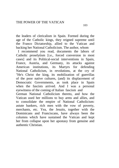the leaders of clericalism in Spain. Formed during the age of the Catholic kings, they reigned supreme until the Franco Dictatorship, allied to the Vatican and backing her National Catholicism. The author, whom

I recommend you read, documents the labors of Catholic proselytism [i.e., forced conversion in most cases] and its Political-social interventions in Spain, France, Austria, and Germany, its attacks against American institutions, its Martyrs for defending National Catholicism, in revolutions, at the cry of "He's Christ the king, its mobilization of guerrillas of the poor native cultures, (and) its displacement of Democratic Governments, as took place in Spain when the fascists arrived. And I was a personal eyewitness of the coming of Italian fascism and German National Catholicism thereto, and how the Vatican used her millions to buy arms and allies, and to consolidate the empire of National Catholicism: astute bankers, rich men with the vow of poverty, merchants, etc. Yea, the Jesuits, together with the Dominicans and Franciscans, have always been the columns which have sustained the Vatican and kept her from collapse upon her apostasy from genuine and authentic Christian.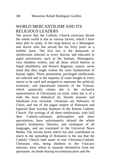## WORLD MERCANTILISM AND ITS RELIGIOUS LEADERS

The power that the Catholic Church exercises throuh the whole world is due to various factors, which I have been able to study, in her long history as a Monsignor and doctor who has served her for forty years as a faithful slave. The first fact is the thousands of intellectuals selected in every diocese and educated in papal universities, such as the bishops, Monsignors, very obedient writers, and all those which believe in Papal infallibility and Rome's dogmatic canons, never mind that they might violate the most fundamental of human rights. These preeminent, privileged intellectuals are selected and in the majority of cases bought in every nation to be used and assigned to represent the political, economic, and educational interests of the Vatican, which satanically claims she is the exclusive representative of Christianity on earth, when she is of a truth the most diabolical lie, bloody monster and falsehood ever invented. Christians are followers of Christ, and not of the pagan empire of Romanist and baptized Baal worship maintain in the Roman Catholic Church. The writings of all these intellectuals, with [all] their Catholic-scholastic philosophies and mere speculations, have unfortunately infused the whole planet's bookstores, libraries, and catalogues of all languages, and are translated in the Universal News Media. The second factor which has also contributed so much to the spreading of Romanist is the use that the Catholic Church hath made of true Christians-Catholic Christians who, being obedient to the Vatican's interests, have refuse to separate themselves from her apostasies, no doubt fearing excommunication and the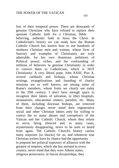loss of their temporal power. There are thousands of genuine Christians who have refused to replace their apostate Catholic faith for a Christian, Bible believing, authentic faith in Jesus the Christ. In Catholicism's history we can study how the Roman Catholic Church has known how to use hundreds of stunborn Christian men and women, whose lives of Sanctity and examples of Christianity are truly admirable, for her own disastrous ambitions of Political power; riches, and the confounding of millions of believers in genuine Christianity in order to convert them to Catholicism, which is NOT Christianity. A very liberal pope, John XXIII, Pius X, several cardinals and bishops, whose Christian writings, evangelizations and founding of charity missions are so well known, are among some of Rome's members, whose fruits we clearly see today in the 20th century. I don't have enough space to recognize their labors of salvation, in (the) hospitals, monasteries, educational centers, parishes, etc. Many of them, including diocesan bishops, are removed from their charges never mind their regenerative social and other Christian labors only for willing to correct the so many abuses and corruption's of the Vatican and her Catholic Church, whom they refuse to serve, being silenced and, in many cases, mysteriously disappearing, never to be seen or heard from again. The Catholic Church's history carries many surprises [or shocks] for us, and whenever true Christian writers have by chance had the opportunity to pinpoint her political trajectory of alliances with the greatest of empires, which she has assisted in every country, never mind that they were Atheist states, religious persecutors, or fascist dictatorships, they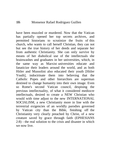have been muzzled or murdered. Now that the Vatican has partially opened her top secrets archives, and permitted historians to scrutinize the fruits of this church, who wants to call herself Christian, they can not but see the true history of her deeds and separate her from authentic Christianity. She can only survive by means of her diabolical use of the intellectuals she brainwashes and graduates in her universities, which, in the same way as Marxist universities educate and fanaticize their leaders around the world, and as both Hitler and Mussolini also educated their youth [Hitler Youth], indoctrinate them into believing that the Catholic Popes and other hierarchies are superman destined to change humanity into their own image. Even so Rome's second Vatican council, despising the previous intellectuality, of what it considered mediocre intellectuals, desired to create a NEW Christian who would with time adjust to the new INTERNATIONAL SOCIALISM, a new Christianity more in line with the terrestrial exigencies of an worldly parodies governed by Vatican city than the Bible, finishing off the Christianity very clearly preached by Christ, of a new creature saved by grace through faith (EPHESIANS 2:8) - the real solution to the crisis and disaster in which we now live.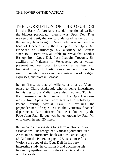THE CORRUPTION OF THE OPUS DEI In the Bank Ambrosiano scandal mentioned earlier, the biggest participator therein was Opus Dei. Thus we see that Berti, the key to understanding the truth of the money laundering in Venezuela, was replaced as head of Unecclesia by the Bishop of the Opus Dei, Francisco de Guruccago, 65, auxiliary of Caracas since 1973. Berti was allocable to reveal that another Bishop from Opus Dei, Jose Joaquin Troconis, 51, auxiliary of Valencia in Venezuela, got a woman pregnant and was forced to contract a marriage with her. And finally, to Berti money laundering could be used for republic works as the construction of bridges, expresses, and plots in Caracas.

Italian firms, as that of Alliance and la de Vianini (close to Giulio Andreotti, who is being investigated for his ties to the Mafia), were also involved. To Berti the immense amounts of money of the Opus Dei came mostly from Spain and were sent off to solidarity in Poland during Martial Law. It explains the preponderance of Opus Dei in the Vatican's financial departments, Berti affirms that he is known by the Pope John Paul II, but was better known by Paul VI, with whom he met 20 times.

Italian courts investigating long term relationships or associations. The recognized Vatican's journalist Juan Arias, in his informative book Un dios Para el Papa (A God for the Pope), on page 125, asks himself, is Wojtyla the pope of the Opus Dei? In his very interesting study, he confirms it and documents his ties and sympathies with/for the Opus Dei and not with the Jesuits.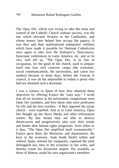The Opus Dei, which was trying to take the reins and control of the Catholic Church without success, was the one which elevated Wojtyla to the Cardinality, and whose money later helped him occupy the papacy. It was they and their multinational enterprises' millions which have made it possible for National Catholicism once again to take over the bishopric's, Nunciatures, Episcopal conferences in Latin America, etc. and as he very well tell us, "The Opus Dei, in its line of occupation, for the good of the church, used to prepare itself into four very concrete camps (the economic, social communications, the universities, and canon law studies) because in those days, before the Vatican II council, it was all but impossible to ordain a priest who had not obtained such a doctorate.

I was a witness in Spain of how they obtained these objectives by offering Franco the "easy way." I recall that all my teachers in the universities complutense were Opus Dei members, and how those who were professors for life and the best teachers - if they opposed the tyrant church - were expelled. And as in Latin America, Opus Dei Bought up the News Media and other information outlets. By this means they are able to destroy democracies and progressively take over their minds and hinder their human rights progresses. Aries refers to it thus, "The Opus Dei amplified itself economically." Franco gave them the Ministries and departments, the keys to the economy, bank funds [both] within and without Spain, entered the companies, captured the most distinguish key men in the economy in her webs, and thereby create his dictatorial empire. His scandals, as those of Matesa, made his own organizatin's members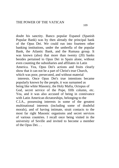doubt his sanctity. Banco popular Espanol (Spanish Popular Bank) was by then already the principal bank of the Opus Dei. We could run into fourteen other banking institutions, under the umbrella of the popular Bank, the Atlantic Bank, and the Rumasa group. It was known (also) that more than twenty (20) banks besides pertained to Opus Dei in Spain alone, without even counting the subsidiaries and affiliates in Latin America. Yea, Opus Dei's actions and fruits clearly show that it can not be a part of Christ's true Church, which was poor, persecuted, and without material

interests. Once Opus Dei's true intentions became popularly known by the people, it was surnamed as being like white Masonry, the Holy Mafia, Octopus of God, secret service of the Pope, fifth column, etc. Yea, and it was also accused of being in connivance with Latin American dictatorships, belonging to the C.I.A., possessing interests in some of the greatest multinational interests (including some of doubtful morals), and of having intimate, strait contacts to the most far right Masonic organisms and secret services of various countries. I recall once being visited in the university of Seville and invited to become a member of the Opus Dei. . .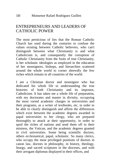## ENTREPRENEURS AND LEADERS OF CATHOLIC POWER

The most pernicious of lies that the Roman Catholic Church has used during the centuries to confuse the values existing between Catholic believers, who can't distinguish between what Christianity is and what Catholicism is, and consequently the corruption of Catholic Christianity from the fruits of true Christianity, is her scholastic ideologies as employed in the education of her monsignors, bishops, and hierarchies scattered around the whole world to corner shrewdly the few riches which remain in all countries of the world.

I am a Christian doctor and monsignor who has dedicated his whole life to understanding the true histories of both Christianity and its impostor, Catholicism. It has taken me a whole life of preparation, with my doctorates and master in divinity, occupying the most varied academic charges in universities and their programs, as a writer of textbooks, etc, in order to be able to clearly distinguish and affirm the differences which exist between the academic degrees awarded in papal universities to her clergy, who are prepared thoroughly to attack at their opportunity, in order to spoil the riches of nations and send them off to their mistress, the Vatican, and the academic degrees granted in civil universities. Some being scientific doctors, others ecclesiastical, papal, scholastic. So many clerics, who occupy the most privileged positions of doctors in canon law, doctors in philosophy, in history, theology, liturgy, and sacred scriptures in the dioceses, and with their arrogant diplomas displayed in their offices, and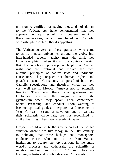monsignors certified for paying thousands of dollars to the Vatican, etc, have demonstrated that they approve the requisites of many courses taught in these universities, which are based on Catholic scholastic philosophies, that it's appalling.

The Vatican converts all these graduates, who come to us from papal universities around the globe, into high-handed leaders; naughty men who think they know everything, when it's all the contrary, seeing that the scholastic philosophies taught in Vatican institutions are irrational and violate the most minimal principles of natures laws and individual conscience. They respect not human rights, and preach a pseudo Christianity composed of but mere Catholic speculations and theories, which, as they very well say in Mexico, "Answer not to Scientific Reality." That's why these papal graduates and Diplomatic confuse the magnesia with the gymnasium when they speak. Their conferences, books, Preaching, and conduct, upon wanting to become spiritual guides, interpreters and teachers of Jesus Christ's message of salvation, and to validate their scholastic credentials, are not recognized in civil universities. They have no academic value.

I myself would attribute the greater part of the so sad situation wherein we live today, in the 20th century, to believing that these bishops and monsignors, graduated clerics who come to us from Vatican institutions to occupy the top positions in the entire world's dioceses and cathedrals, are scientific or reliable teachers, and it's "NOT" so. They are teaching us historical falsehoods about Christianity,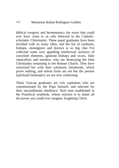#### 112 Monsenor Rafael Rodriguez Guillen

biblical exegesis and hermeneutics the worst that could ever have come to us who believed in the Catholicscholastic Christianity. These papal graduates have been lavished with so many titles, and the list of cardinals, bishops, monsignors and doctors is so big, that I've collected some very appalling intellectual statistics of conceited elements, ignorant bishops and vicars, false chancellors and teachers, who are destroying the little Christianity remaining in the Roman Church. They have converted her with their scholastic falsehoods, which prove nothing, and whose fruits are not but the present [spiritual] bankruptcy we are now witnessing.

These Vatican graduates are rich capitalists who are commissioned by the Pope himself, and selected for their unconditional obedience: Rich men established in the Pontifical yearbook, whose mission is to attain all the power you could ever imagine, forgetting Christ.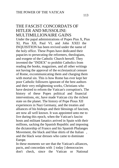### THE FASCIST CONCORDATS OF HITLER AND MUSSOLINI: MULTIMILLIONAIRE GAINS

Under the papal administrations of Popes Pius X, Pius XI, Pius XII, Paul VI, and John XXEI the INQUISITION has been revived under the name of the holy office. These Popes have dedicated their papacies to persecuting the reformers, theologians, and exegete of the Catholic Church herself. They invented the "INDEX" to prohibit Catholics from reading the books, magazines, and all other writings not having the approval of the ecclesiastical censure of Rome, excommunicating them and charging them with mortal sin. This is how Rome has ever kept her poor Catholic followers ignorant of the best authors and their very enlightening works, Christians who have desired to reform the Vatican's corruption's. The history of these Popes political and financial interventions, etc, have made Vatican city the richest state on the planet. The history of Pope Pious XII experiences in Nazi Germany, and the treaties and alliances of his bishops and their blessings of fascism, are now all well known. It was appointed unto me to live during this epoch, when the Vatican's fascist hosts and militant fanatics arrived in Spain with their millions, sacking the Spanish Republic and imposing the dictatorship of Franco and his Spanish Phalanges Movement, the black and blue shirts of the Italian and the black wear dresses who came to dominate Europe.

In these moments we see that the Vatican's alliances, pacts, and concordats with [ today ] democracies don't check, since the Vatican or National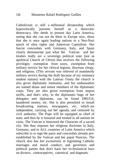Catholicism is still a millennial dictatorship which hypocritically presents herself as a theocratic democracy. Her deeds in present day Latin America, seeing that she can not do them in Europe now, show that she is once again leading nations to a Neo-Nazi epoch of ultra rights and American Capitalism. Her fascist concordats with Germany, Italy, and Spain clearly demonstrate just what the Vatican and her treaties really are a sovereign political state (not as apolitical Church of Christ) that receives the following privileges: exemption from taxes, exemption from military service for her clerical legions, diocesan clergy, and religious. (This servant was relieved of mandatody military service during the draft because of my seminary student statues) with the Lateran Treaty the church is also given diplomatic immunity, and her ambassadors are named deans and senior members of the diplomatic corps. They are also given exemption from import tariffs, and that's why, in the diplomatic bags of her delegates and diplomats, can be found DRUGS, laundered money, etc. She is also permitted to install broadcasting stations, newspapers, etc, which are independent, carrying out her agenda, and censored by civil authority. The Pope will be equipped as chief of state, and thus he is honored and treated in all nations he visits. The Vatican is bestowed the Character of a sacred city. She thus imposes her religious doctrines in Italy, Germany, and in ALL countries of Latin America which subscribe to or sign the pacts and concordats already preestablished by the Vatican and her papal Nuncios. The church also has her exclusively in legislating Catholic marriages and moral conduct; and governors and political parties that don't back her ecclesiastical laws on divorce, contraceptives, canonical and dogmatic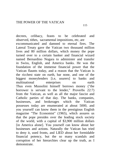decrees, celibacy, feasts to be celebrated and observed, tithes, sacramental impositions, etc, are excommunicated and damned to eternal fires. The Lateral Treaty gave the Vatican two thousand million lives and 80 million dollars, which money the pope turned over to a certain banker and financial wizard named Bernardino Nogara to administer and transfer in Swiss, English, and America banks. He was the foundation of the immense financial power that the Vatican flaunts today, and a reason that the Vatican is the ricchest state on earth, bar none, and one of the biggest moneylenders [i.e, usurers] to banks and multinational enterprises on earth Thus even Mussolini himself borrows money ("the borrower is servant to the lender," Proverbs 22:7) from the Vatican, as well as all the major fascist and Catholic parties of that day. The banks, companies, businesses, and brokerages which the Vatican possesses today are enumerated at about 5000, and you yourself can know them in the prestigious English magazine "The Economist" (1965), which assures us that the pope presides over the leading stock society of the world, with a capital of \$3,900 million dollars [in America alone]. You yourself can know about her businesses and actions. Naturally the Vatican has tried to deny it, used fronts, and LIED about her formidable financial potency, but the so many scandals and corruption of her hierarchies clear up the truth, as I demonstrate.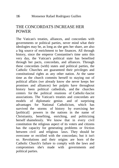# THE CONCORDATS INCREASE HER POWER

The Vatican's treaties, alliances, and concordats with governments or political parties, never mind what their ideologies may be, as long as she gets her share, are also a big source of enrichment to her finances. All through history, since the emperor Constantine's time unto this very day, the Vatican's political state has benefited through her pacts, concordats, and alliances. Through these concordats (with) states and political parties, the Catholic Churches are guaranteed their privileges and constitutional rights as any other nation. At the same time as the church commits herself to staying out of political affairs (we already know she never keeps her promises and alliances) her pulpits have throughout history been political cathedrals, and the churches centers for the political reunions of Catholic-fascist associations. The Vatican's treaties and concordats are models of diplomatic genius and of surprising advantages for National Catholicism, which has survived the storms of history by exercising her [political] powers in the nations in the name of Christianity, benefiting, enriching, and politicizing herself shamelessly. We know that in every civil constitution the religious aspect of its voters and citizens has the capacity for generating problems or friction between civil and religious laws. They should be overcome or rectified with the concordats; but it isn't so. Revolutions and their origins are born of the Catholic Church's failure to comply with the laws and compromises she's made with governments and political parties.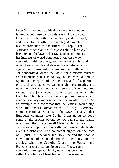Leon XIII, the pope political par excellence, upon talking about these concordats, says: 'A concordat. . . Greatly strengthens the state authority and the papal," and these always "offer the church (as) a muchneeded protection to the rulers of Europe." The Vatican's concordats are always careful to have civil backing and the laws in her favor, to accommodate her interests of world conquest. In the case when concordats with secular governments don't exist, and which keeps church and state separated, the nuncios sign a compromise with the government (with no need of concordats) where the ways for a modus vivendi are established; that is to say, as in Mexico and in Spain, in the epoch of democracies and of separation of church and state, we can consult these treaties and note the scholastic genius and subtle wisdom utilized to attain the joint ownership of properties which the Catholic Church and her unscrupulous lawyers and canonists always manage to include in all treaties. As an example of a concordat that the Vatican would sign with the fascist dictatorships of Italy, Germany, German National Socialism, the USA, or any other European countries like Spain, I am going to copy some of the articles of one so you can see the reality of a church that calls herself Christian, but whose

interests are political, worldly ambitions, which she ever subscribes to. The concordat signed on the 28th of August 1953 between the Holy See and the Spanish Government of General Franco mentions, in 35 articles, what the Catholic Church, the Vatican and Franco's fascist dictatorship agree to. These same concordats are repeatedly signed with governments called Catholic, for Mussolini and Hitler were both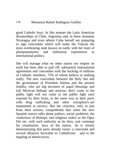good Catholic boys. In like manner the Latin American dictatorships of Chile, Argentina and, in these moments Nicaragua and even atheist Cuba herself are preparing to sign concordats which will make the Vatican the most overbearing state known on earth, with her team of plenipotentiaries and millennial experiences in international politics.

She will manage what no other nation nor empire on earth has been able to pull off: substantial international agreements and concordats with the backing of millions of Catholic members, 75% of whom believe in nothing really. The new concordats between the Holy See and the government of President Salinas and the present Zedillo, who are big devotees of papal blessings and (of) Mexican bishops and nuncios, don't come to the public light will not come to the public light until exposed by their fruits, in the same way as their pacts with drug trafficking and other corruption's are maintained in secrecy. But the citizenry, only or just from their actions, comprehends that when the new Spanish nuncio talks about politics, social problems, the conference of Bishops, and religious orders as the Opus Dei etc, with such authority as he does, and contempt for constitution laws of the nation, he is clearly demonstrating that parts already exists: a concordat and several alliances favorable to Catholicism and to the toppling of democracies.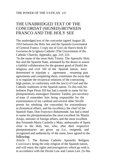## THE UNABRIDGED TEXT OF THE CONCORDAT (SIGNED) BETWEEN FRANCO AND THE HOLY SEE

The unabridged text of the concordat signed August 28, 1953 between the Holy See and the Spanish Government of General Franco. I copy out of Gin's de Haro's book El Govierno de la Iglesia Catholic (The Government of the Catholic Church), Appendix, pgs. 210. 223.

"In the name of the most Holy Trinity: The Apostolic Holy See and the Spanish State, animated by the desire to assure a faithful collaboration for the greatest good of [both] the religious and civil life of the Spanish nation, have determined to stipulate a agreement , resuming past agreements and completing them, constitutes the norm that is to regulate the reciprocal relations of the contracting high parties, in conformity with the law's) of God and the Catholic traditions of the Spanish nation. To this end, his holiness Pope Pious XII has had a monde to name for his plenipotentiary monsignor Dominic Tardini, pro-secretary of state (I remember him being responsible for the extermination of my cardinal and several other Seville priests for rebuking the concordat) for extraordinary ecclesiastical affairs, and his excellency the chief of the Spanish State, Don Francisco Bahamonde, has had a mind to name his plenipotentiaries the most excellent Sir Martin Artajo, minister of foreign affairs, and the most excellent don Fernando Maria Castiella y Maiz, ambassador of Spain close to the Holy See, who, after their respective plenipotentiaries are given up (i.e., resigned), and recognized and authenticity of the same, have agreed to the following:

Article 1. The Roman Catholic Apostolic Religion Continues being the only religion of the Spanish nation, and will enjoy the rights and prerogatives which go with it, in accordance with the Divine Law and Canon Law. [is this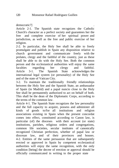democratic?] .

Article 2-1. The Spanish state recognizes the Catholic Church's character as a perfect society and guarantees her the free and complete exercise of her spiritual power and jurisdiction, as well as the free and public exercise of her religion.

2-2. In particular, the Holy See shall be able to freely promulgate and publish in Spain any disposition relative to church government and communicate freely with the prelates, clergy and the faithful of the country, just as these shall be able to do with the Holy See. Both the common person and the ecclesiastical authorities will enjoy the same faculties regarding her clergy and faithful. Article 3-1. The Spanish State acknowledges the international legal system (or personality) of the Holy See and of the state of Vatican City.

3-2. To maintain the traditionally friendly relationships between the Holy See and the Spanish State, an ambassador of Spain (in Madrid) and a papal nuncio close to the Holy See shall be permanently authorized to act on behalf of both. This shall be the dean of the Diplomatic Corps, according to the terms of the common law.

Article 4-1. The Spanish State recognizes the law personality and the full capacity to acquire, possess and administer all kinds of goods to/for all institutions and religion associations existing in Spain when the present concordat comes into effect, constituted according to Canon law, is particular (of) the dioceses with their account (or state) institutions, parishes, religious orders and congregations, common life societies, secular institutes of canonically recognized Christian perfection, whether of papal law or diocesan law, and of their provinces and houses. 4-2. Entities of the same persuasion that are subsequently erected or approved in Spain by competent ecclesiastical authorities will enjoy the same recognition, with the only condition [being] the decree of erection or approval should be officially communicated in writing to the proper state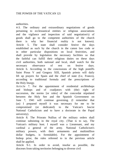authorities.

4-3. The ordinary and extraordinary negotiations of goods pertaining to ecclesiastical entities or religious associations and the vigilance and inspection of said negotiation's) of goods shall go to the competent authorities of the church there is why her financial reality is not known). Article 5. The state shall consider festive the days established as such by the church in the canon law code or in other particular dispositions on local festivities, and shall provide by legislation the necessary facilities so that the faithful can fulfill their religious duties on these days civil authorities, both national and local, shall watch for the necessary observance of rest on festive days. Article 6. According to the concessions of the high pontiffs Saint Pious V and Gregory XIII, Spanish priests will daily lift up prayers for Spain and the chief of state (I.e, Franco), according to traditional formula and the prescriptions of the Holy liturgy.

Article 7. For the appointment of residential archbishops and bishops and of coadjutors with (the) right of succession, the norms [or rules] of the concordat stipulated between the Holy See and the Spanish Government on June 7, 1941 will continue governing. (I remember that (as) I prepared myself it was necessary for me to be compromised (or dedicated) to the Vatican's fascist National Catholicism and to have a doctorate in the Papal university).

Article 8. The Priorato Nullius of the military orders shall continue subsisting in the royal city. (That is to say, The Vatican's military host. I myself was a Lieutenant, and my cardinal a general of the army. National Catholicism's military powers, with their armaments and multimillion dollar budgets, is formidable). For the appointment of bishop prior, the rules refereed to in the previous article shall be applied.

Article 9-1. In order to avoid, insofar as possible, the dioceses from taking territories belonging to diverse civil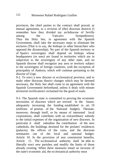provinces, the chief parties to the contract shall proced, as mutual agreement, to a revision of (the) diocesan districts (I remember how they divided my archdiocese of Seville<br>among the Vatican's Sympathizers). among the Vatican's Sympathizers). Thus the Holy See, in agreement with the Spanish Government, shall take the necessary steps to eliminate the enclaves (That is to say, the bishops or other hierarchies who opposed the dictatorship). No part of the Spanish territory or of Spain's sovereignty shall depend on bishops whose headquarters (or sees) are found in territories which are in subjection to the sovereignty of any other state, and no Spanish diocese shall recognize any area or territory subject to the sovereignty of foreign countries, with the exception of principality of Andorra, which will continue pertaining to the diocese of Urge.

9-2. To erect a new diocese or ecclesiastical province, and to make other diocesan district changes which may be deemed necessary, the Holy See shall come to an agreement with the Spanish Government beforehand, unless it deals with minute territorial rectification's reclaimed for the good of souls.

9-3. The Spanish state is committed to proving the economic necessities of dioceses which are erected in the future, adequately increasing the funding established in art. 19 (millions of pesetas of the National budget). Thestate, moreover, through itself, or by means of interested local corporations, shall contribute with an extraordinary subsidy to the initial expenses of the organization of new dioceses. In particular it shall subsidize the contribution of the new cathedrals, the buildings destined for the prelates' residences (palaces), the offices of the curia, and the diocesan seminaries out of the local and national budget. Article 10. In the provision of non consistorial benefits, Article 11. The ecclesiastical authority shall be able to liberally erect new parishes and modify the limits of those already existing. When these measures entail an increase of the state's economic aid, the ecclesiastical authority must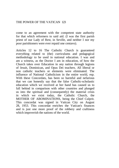come to an agreement with the competent state authority for that which reformers to said aid. (I was the first parish priest of our Lady of Rest, in Seville, and neither I nor my poor parishioners were ever repaid one centavo).

Articles 12 to 16 The Catholic Church is guaranteed everything related to (the) curriculums and pedagogical methodology to be used in national education. I was and am a witness, as the Doctor I am in education, of how the Church takes over Education in any nation through legions of Jesuit, Dominican, and Opus Dei teachers. All liberal or non catholic teachers or elements were eliminated. The influence of National Catholicism in the entire world, esp. With these Concordats, has been so harmful and nefarious that we can honestly say that the false Catholic-scholastic education which we received at her hand has caused us to fall behind in comparison with other countries and plunged us into the spiritual and (consequently) the material crisis in which we exist today, the Catholic Church, the MOTHER OF ABOMINATIONS, being the Chief Culprit. This concordat was signed in Vatican City on August 28, 1953. This concordat enriches the Vatican's finances and is just one more proof of the robbery and craftiness which impoverish the nations of the world.